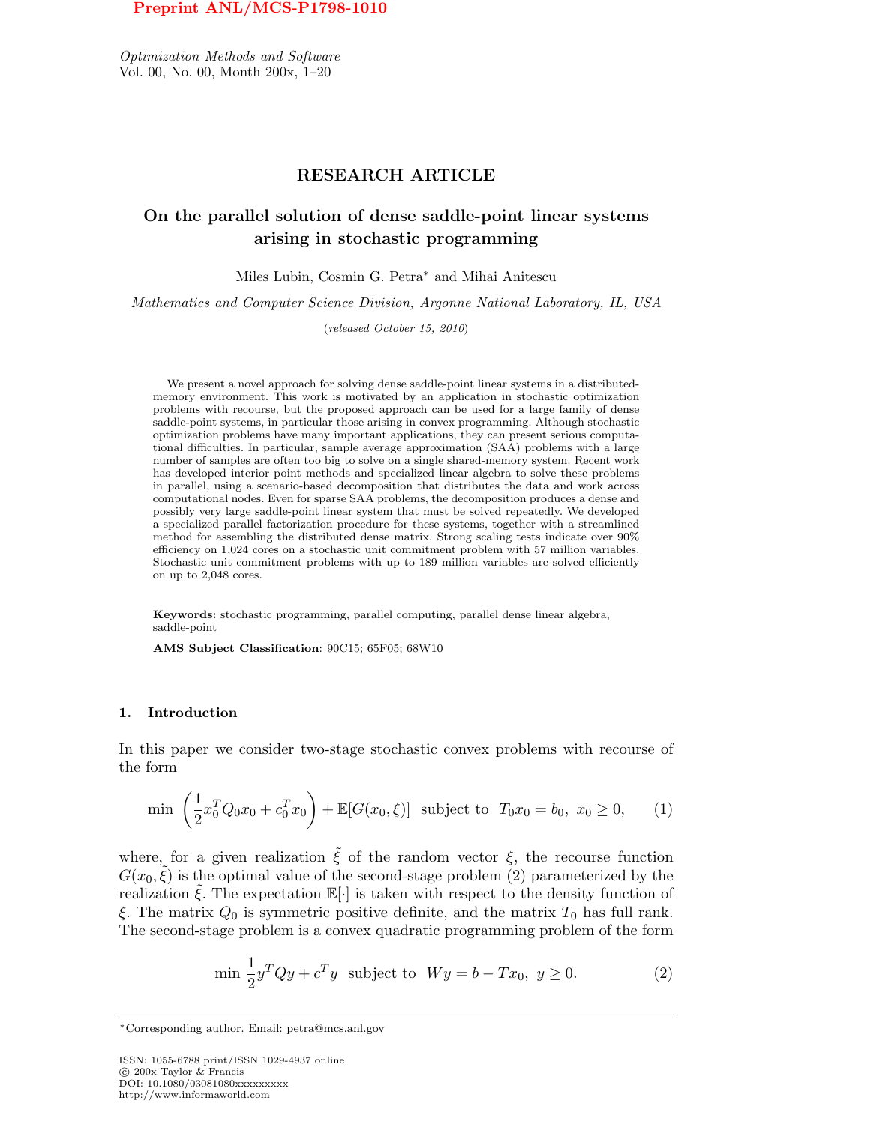Optimization Methods and Software Vol. 00, No. 00, Month 200x, 1–20

## RESEARCH ARTICLE

# On the parallel solution of dense saddle-point linear systems arising in stochastic programming

Miles Lubin, Cosmin G. Petra<sup>∗</sup> and Mihai Anitescu

Mathematics and Computer Science Division, Argonne National Laboratory, IL, USA

(released October 15, 2010)

We present a novel approach for solving dense saddle-point linear systems in a distributedmemory environment. This work is motivated by an application in stochastic optimization problems with recourse, but the proposed approach can be used for a large family of dense saddle-point systems, in particular those arising in convex programming. Although stochastic optimization problems have many important applications, they can present serious computational difficulties. In particular, sample average approximation (SAA) problems with a large number of samples are often too big to solve on a single shared-memory system. Recent work has developed interior point methods and specialized linear algebra to solve these problems in parallel, using a scenario-based decomposition that distributes the data and work across computational nodes. Even for sparse SAA problems, the decomposition produces a dense and possibly very large saddle-point linear system that must be solved repeatedly. We developed a specialized parallel factorization procedure for these systems, together with a streamlined method for assembling the distributed dense matrix. Strong scaling tests indicate over 90% efficiency on 1,024 cores on a stochastic unit commitment problem with 57 million variables. Stochastic unit commitment problems with up to 189 million variables are solved efficiently on up to 2,048 cores.

Keywords: stochastic programming, parallel computing, parallel dense linear algebra, saddle-point

AMS Subject Classification: 90C15; 65F05; 68W10

## 1. Introduction

In this paper we consider two-stage stochastic convex problems with recourse of the form

$$
\min \left( \frac{1}{2} x_0^T Q_0 x_0 + c_0^T x_0 \right) + \mathbb{E}[G(x_0, \xi)] \text{ subject to } T_0 x_0 = b_0, x_0 \ge 0,
$$
 (1)

where, for a given realization  $\tilde{\xi}$  of the random vector  $\xi$ , the recourse function  $G(x_0, \tilde{\xi})$  is the optimal value of the second-stage problem (2) parameterized by the realization  $\xi$ . The expectation  $\mathbb{E}[\cdot]$  is taken with respect to the density function of ξ. The matrix  $Q_0$  is symmetric positive definite, and the matrix  $T_0$  has full rank. The second-stage problem is a convex quadratic programming problem of the form

$$
\min \frac{1}{2} y^T Q y + c^T y \text{ subject to } Wy = b - Tx_0, y \ge 0. \tag{2}
$$

ISSN: 1055-6788 print/ISSN 1029-4937 online c 200x Taylor & Francis DOI: 10.1080/03081080xxxxxxxxx http://www.informaworld.com

<sup>∗</sup>Corresponding author. Email: petra@mcs.anl.gov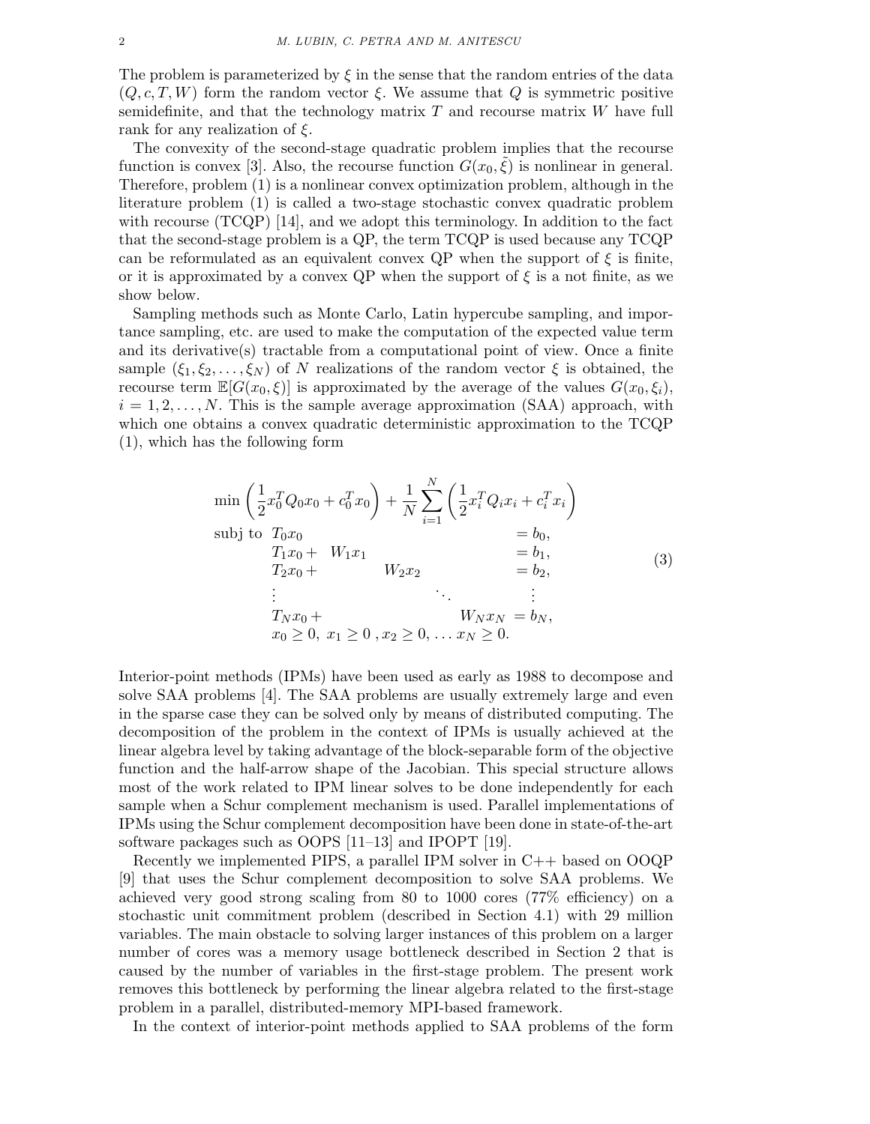The problem is parameterized by  $\xi$  in the sense that the random entries of the data  $(Q, c, T, W)$  form the random vector  $\xi$ . We assume that Q is symmetric positive semidefinite, and that the technology matrix  $T$  and recourse matrix  $W$  have full rank for any realization of  $\xi$ .

The convexity of the second-stage quadratic problem implies that the recourse function is convex [3]. Also, the recourse function  $G(x_0, \tilde{\xi})$  is nonlinear in general. Therefore, problem (1) is a nonlinear convex optimization problem, although in the literature problem (1) is called a two-stage stochastic convex quadratic problem with recourse  $(TCQP)$  [14], and we adopt this terminology. In addition to the fact that the second-stage problem is a QP, the term TCQP is used because any TCQP can be reformulated as an equivalent convex QP when the support of  $\xi$  is finite, or it is approximated by a convex QP when the support of  $\xi$  is a not finite, as we show below.

Sampling methods such as Monte Carlo, Latin hypercube sampling, and importance sampling, etc. are used to make the computation of the expected value term and its derivative(s) tractable from a computational point of view. Once a finite sample  $(\xi_1, \xi_2, \ldots, \xi_N)$  of N realizations of the random vector  $\xi$  is obtained, the recourse term  $\mathbb{E}[G(x_0,\xi)]$  is approximated by the average of the values  $G(x_0,\xi_i)$ ,  $i = 1, 2, \ldots, N$ . This is the sample average approximation (SAA) approach, with which one obtains a convex quadratic deterministic approximation to the TCQP (1), which has the following form

$$
\min\left(\frac{1}{2}x_0^T Q_0 x_0 + c_0^T x_0\right) + \frac{1}{N} \sum_{i=1}^N \left(\frac{1}{2}x_i^T Q_i x_i + c_i^T x_i\right)
$$
\n
$$
\text{subject to } T_0 x_0 = b_0,
$$
\n
$$
T_1 x_0 + W_1 x_1 = b_1,
$$
\n
$$
T_2 x_0 + W_2 x_2 = b_2,
$$
\n
$$
\vdots \qquad \qquad \vdots
$$
\n
$$
T_N x_0 + W_N x_N = b_N,
$$
\n
$$
x_0 \ge 0, x_1 \ge 0, x_2 \ge 0, \dots x_N \ge 0.
$$
\n(3)

Interior-point methods (IPMs) have been used as early as 1988 to decompose and solve SAA problems [4]. The SAA problems are usually extremely large and even in the sparse case they can be solved only by means of distributed computing. The decomposition of the problem in the context of IPMs is usually achieved at the linear algebra level by taking advantage of the block-separable form of the objective function and the half-arrow shape of the Jacobian. This special structure allows most of the work related to IPM linear solves to be done independently for each sample when a Schur complement mechanism is used. Parallel implementations of IPMs using the Schur complement decomposition have been done in state-of-the-art software packages such as OOPS [11–13] and IPOPT [19].

Recently we implemented PIPS, a parallel IPM solver in C++ based on OOQP [9] that uses the Schur complement decomposition to solve SAA problems. We achieved very good strong scaling from 80 to 1000 cores (77% efficiency) on a stochastic unit commitment problem (described in Section 4.1) with 29 million variables. The main obstacle to solving larger instances of this problem on a larger number of cores was a memory usage bottleneck described in Section 2 that is caused by the number of variables in the first-stage problem. The present work removes this bottleneck by performing the linear algebra related to the first-stage problem in a parallel, distributed-memory MPI-based framework.

In the context of interior-point methods applied to SAA problems of the form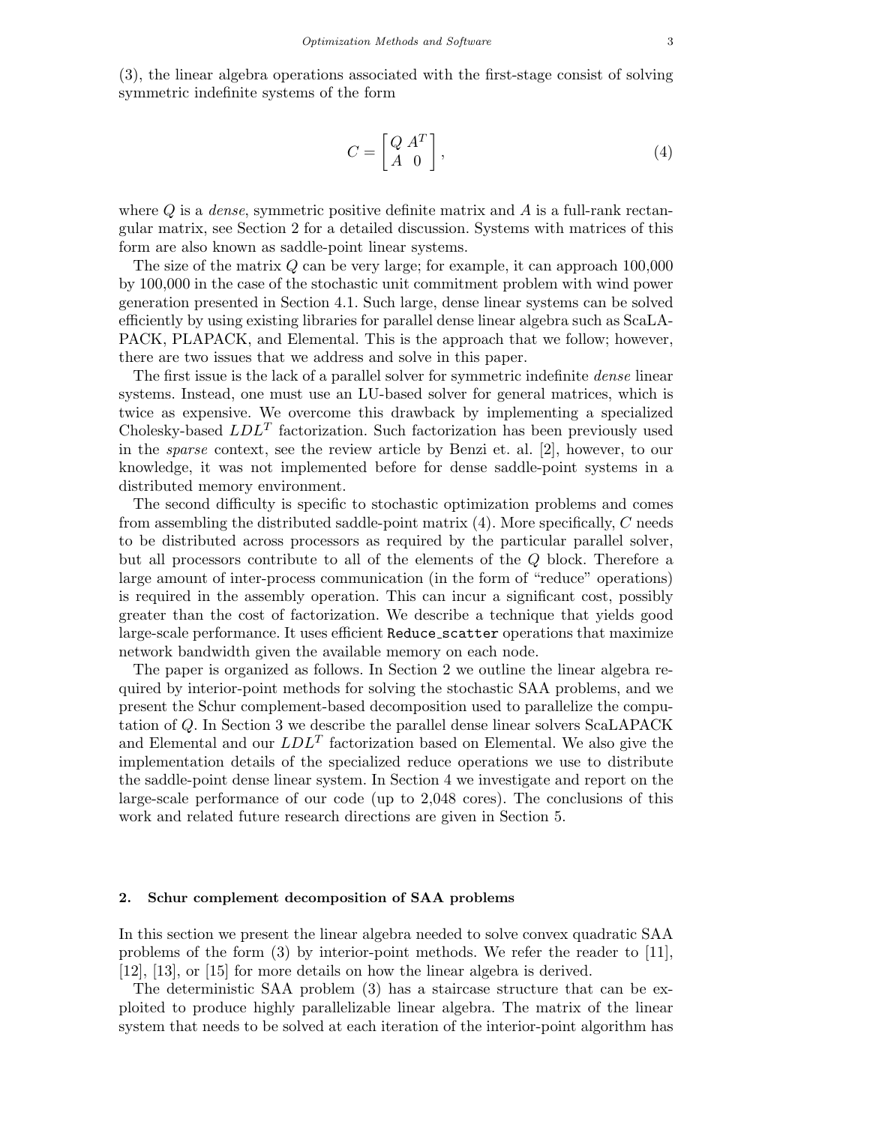(3), the linear algebra operations associated with the first-stage consist of solving symmetric indefinite systems of the form

$$
C = \begin{bmatrix} Q & A^T \\ A & 0 \end{bmatrix},\tag{4}
$$

where  $Q$  is a *dense*, symmetric positive definite matrix and  $A$  is a full-rank rectangular matrix, see Section 2 for a detailed discussion. Systems with matrices of this form are also known as saddle-point linear systems.

The size of the matrix Q can be very large; for example, it can approach 100,000 by 100,000 in the case of the stochastic unit commitment problem with wind power generation presented in Section 4.1. Such large, dense linear systems can be solved efficiently by using existing libraries for parallel dense linear algebra such as ScaLA-PACK, PLAPACK, and Elemental. This is the approach that we follow; however, there are two issues that we address and solve in this paper.

The first issue is the lack of a parallel solver for symmetric indefinite *dense* linear systems. Instead, one must use an LU-based solver for general matrices, which is twice as expensive. We overcome this drawback by implementing a specialized Cholesky-based  $LDL<sup>T</sup>$  factorization. Such factorization has been previously used in the sparse context, see the review article by Benzi et. al. [2], however, to our knowledge, it was not implemented before for dense saddle-point systems in a distributed memory environment.

The second difficulty is specific to stochastic optimization problems and comes from assembling the distributed saddle-point matrix (4). More specifically, C needs to be distributed across processors as required by the particular parallel solver, but all processors contribute to all of the elements of the Q block. Therefore a large amount of inter-process communication (in the form of "reduce" operations) is required in the assembly operation. This can incur a significant cost, possibly greater than the cost of factorization. We describe a technique that yields good large-scale performance. It uses efficient Reduce scatter operations that maximize network bandwidth given the available memory on each node.

The paper is organized as follows. In Section 2 we outline the linear algebra required by interior-point methods for solving the stochastic SAA problems, and we present the Schur complement-based decomposition used to parallelize the computation of Q. In Section 3 we describe the parallel dense linear solvers ScaLAPACK and Elemental and our  $LDL<sup>T</sup>$  factorization based on Elemental. We also give the implementation details of the specialized reduce operations we use to distribute the saddle-point dense linear system. In Section 4 we investigate and report on the large-scale performance of our code (up to 2,048 cores). The conclusions of this work and related future research directions are given in Section 5.

#### 2. Schur complement decomposition of SAA problems

In this section we present the linear algebra needed to solve convex quadratic SAA problems of the form (3) by interior-point methods. We refer the reader to [11], [12], [13], or [15] for more details on how the linear algebra is derived.

The deterministic SAA problem (3) has a staircase structure that can be exploited to produce highly parallelizable linear algebra. The matrix of the linear system that needs to be solved at each iteration of the interior-point algorithm has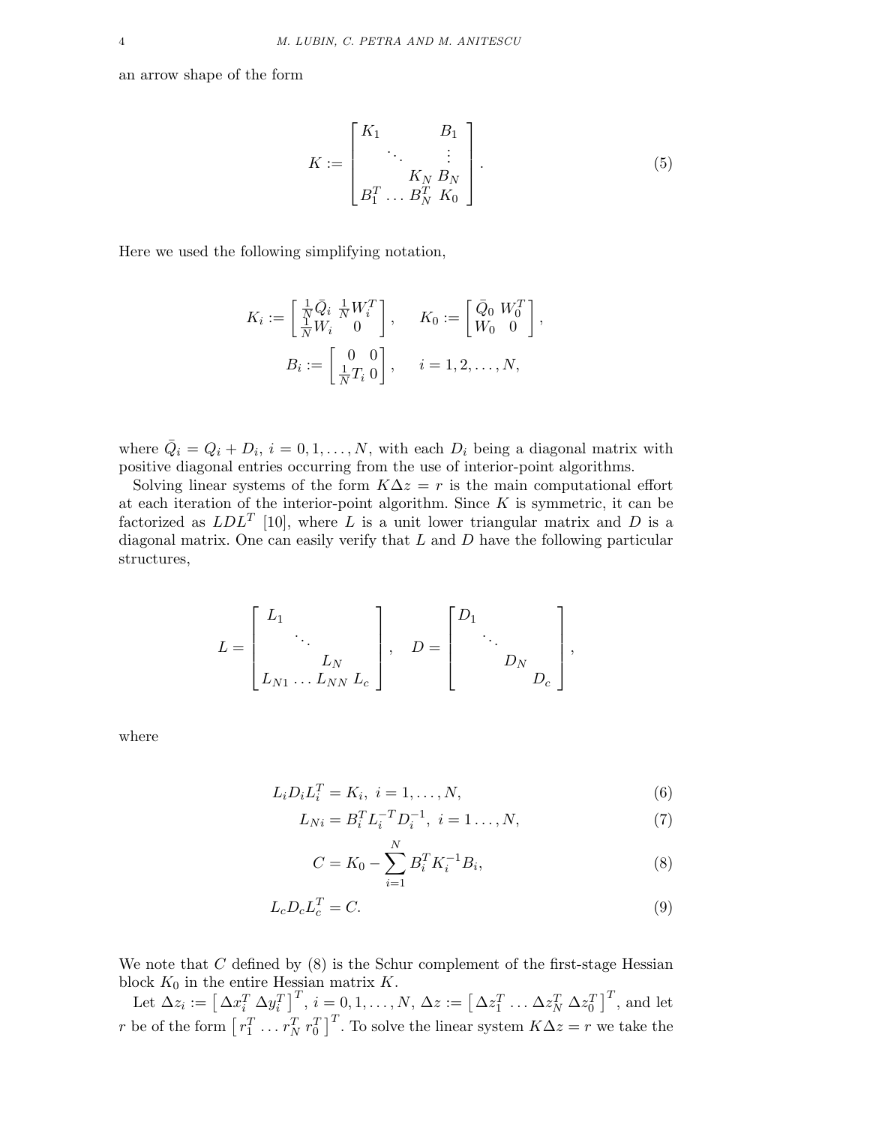an arrow shape of the form

$$
K := \begin{bmatrix} K_1 & B_1 \\ \ddots & \vdots \\ K_N & B_N \\ B_1^T & \dots & B_N^T & K_0 \end{bmatrix} . \tag{5}
$$

Here we used the following simplifying notation,

$$
K_i := \begin{bmatrix} \frac{1}{N} \overline{Q}_i & \frac{1}{N} W_i^T \\ \frac{1}{N} W_i & 0 \end{bmatrix}, \quad K_0 := \begin{bmatrix} \overline{Q}_0 & W_0^T \\ W_0 & 0 \end{bmatrix},
$$
  

$$
B_i := \begin{bmatrix} 0 & 0 \\ \frac{1}{N} T_i & 0 \end{bmatrix}, \quad i = 1, 2, \dots, N,
$$

where  $\overline{Q}_i = Q_i + D_i$ ,  $i = 0, 1, ..., N$ , with each  $D_i$  being a diagonal matrix with positive diagonal entries occurring from the use of interior-point algorithms.

Solving linear systems of the form  $K\Delta z = r$  is the main computational effort at each iteration of the interior-point algorithm. Since  $K$  is symmetric, it can be factorized as  $LDL^{T}$  [10], where L is a unit lower triangular matrix and D is a diagonal matrix. One can easily verify that  $L$  and  $D$  have the following particular structures,

$$
L = \begin{bmatrix} L_1 & & \\ & \ddots & \\ & & L_N & \\ L_{N1} & \ldots & L_{NN} & L_c \end{bmatrix}, \quad D = \begin{bmatrix} D_1 & & \\ & \ddots & \\ & & D_N & \\ & & & D_c \end{bmatrix},
$$

where

$$
L_i D_i L_i^T = K_i, \ i = 1, \dots, N,
$$
\n(6)

$$
L_{Ni} = B_i^T L_i^{-T} D_i^{-1}, \ i = 1 \dots, N,
$$
\n(7)

$$
C = K_0 - \sum_{i=1}^{N} B_i^T K_i^{-1} B_i,
$$
\n(8)

$$
L_c D_c L_c^T = C.
$$
\n<sup>(9)</sup>

We note that  $C$  defined by  $(8)$  is the Schur complement of the first-stage Hessian block  $K_0$  in the entire Hessian matrix  $K$ .

Let  $\Delta z_i := \left[\Delta x_i^T \Delta y_i^T\right]^T$ ,  $i = 0, 1, ..., N$ ,  $\Delta z := \left[\Delta z_1^T ... \Delta z_N^T \Delta z_0^T\right]^T$ , and let r be of the form  $\begin{bmatrix} r_1^T \dots r_N^T \ r_0^T \end{bmatrix}^T$ . To solve the linear system  $K\Delta z = r$  we take the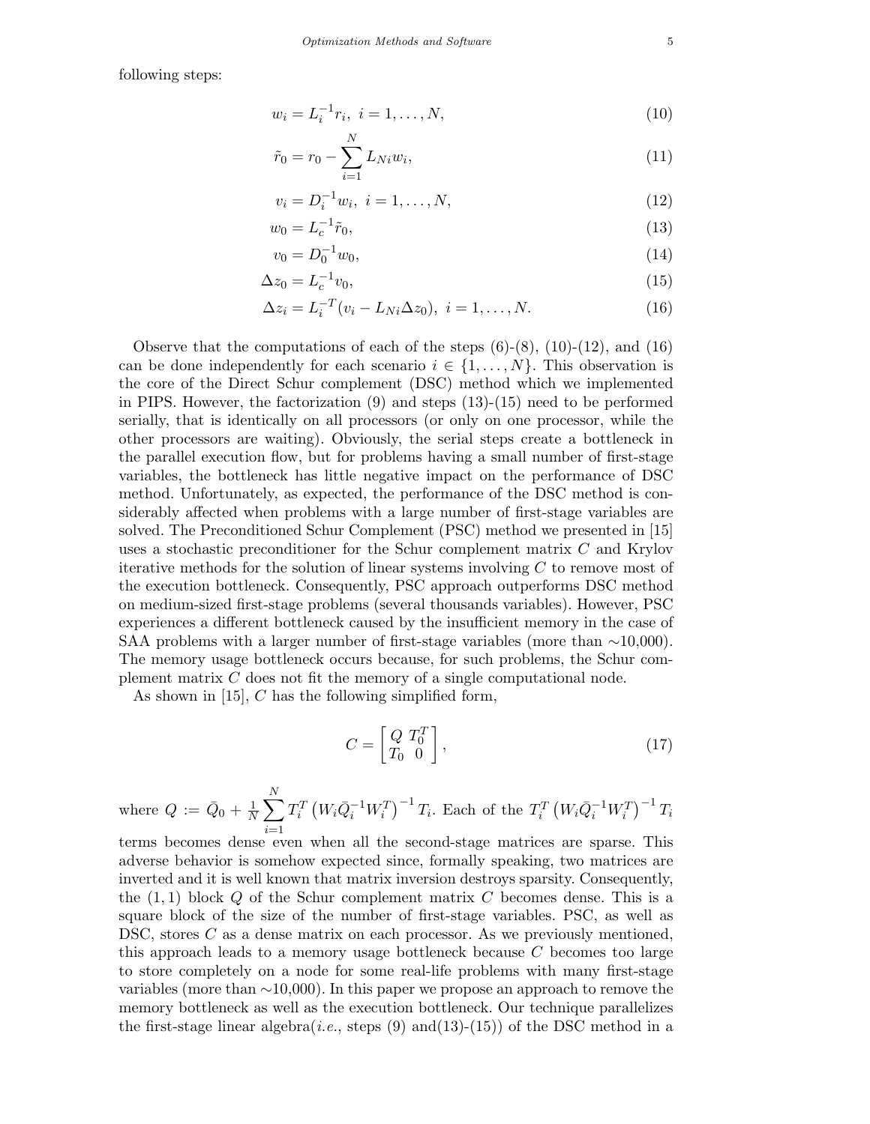following steps:

$$
w_i = L_i^{-1} r_i, \ i = 1, \dots, N,
$$
\n(10)

$$
\tilde{r}_0 = r_0 - \sum_{i=1}^{N} L_{Ni} w_i,
$$
\n(11)

$$
v_i = D_i^{-1} w_i, \ i = 1, \dots, N,
$$
\n(12)

$$
w_0 = L_c^{-1} \tilde{r}_0,\tag{13}
$$

$$
v_0 = D_0^{-1} w_0,\tag{14}
$$

$$
\Delta z_0 = L_c^{-1} v_0,\tag{15}
$$

$$
\Delta z_i = L_i^{-T} (v_i - L_{Ni} \Delta z_0), \ i = 1, ..., N. \tag{16}
$$

Observe that the computations of each of the steps  $(6)-(8)$ ,  $(10)-(12)$ , and  $(16)$ can be done independently for each scenario  $i \in \{1, \ldots, N\}$ . This observation is the core of the Direct Schur complement (DSC) method which we implemented in PIPS. However, the factorization (9) and steps (13)-(15) need to be performed serially, that is identically on all processors (or only on one processor, while the other processors are waiting). Obviously, the serial steps create a bottleneck in the parallel execution flow, but for problems having a small number of first-stage variables, the bottleneck has little negative impact on the performance of DSC method. Unfortunately, as expected, the performance of the DSC method is considerably affected when problems with a large number of first-stage variables are solved. The Preconditioned Schur Complement (PSC) method we presented in [15] uses a stochastic preconditioner for the Schur complement matrix  $C$  and Krylov iterative methods for the solution of linear systems involving  $C$  to remove most of the execution bottleneck. Consequently, PSC approach outperforms DSC method on medium-sized first-stage problems (several thousands variables). However, PSC experiences a different bottleneck caused by the insufficient memory in the case of SAA problems with a larger number of first-stage variables (more than ∼10,000). The memory usage bottleneck occurs because, for such problems, the Schur complement matrix  $C$  does not fit the memory of a single computational node.

As shown in [15], C has the following simplified form,

$$
C = \begin{bmatrix} Q & T_0^T \\ T_0 & 0 \end{bmatrix},\tag{17}
$$

where  $Q := \bar{Q}_0 + \frac{1}{N}$  $\frac{1}{N}\sum$ N  $i=1$  $T_i^T \left( W_i \bar{Q}_i^{-1} W_i^T \right)^{-1} T_i$ . Each of the  $T_i^T \left( W_i \bar{Q}_i^{-1} W_i^T \right)^{-1} T_i$ terms becomes dense even when all the second-stage matrices are sparse. This adverse behavior is somehow expected since, formally speaking, two matrices are inverted and it is well known that matrix inversion destroys sparsity. Consequently, the  $(1, 1)$  block Q of the Schur complement matrix C becomes dense. This is a square block of the size of the number of first-stage variables. PSC, as well as DSC, stores C as a dense matrix on each processor. As we previously mentioned, this approach leads to a memory usage bottleneck because  $C$  becomes too large to store completely on a node for some real-life problems with many first-stage variables (more than ∼10,000). In this paper we propose an approach to remove the memory bottleneck as well as the execution bottleneck. Our technique parallelizes the first-stage linear algebra(*i.e.*, steps (9) and(13)-(15)) of the DSC method in a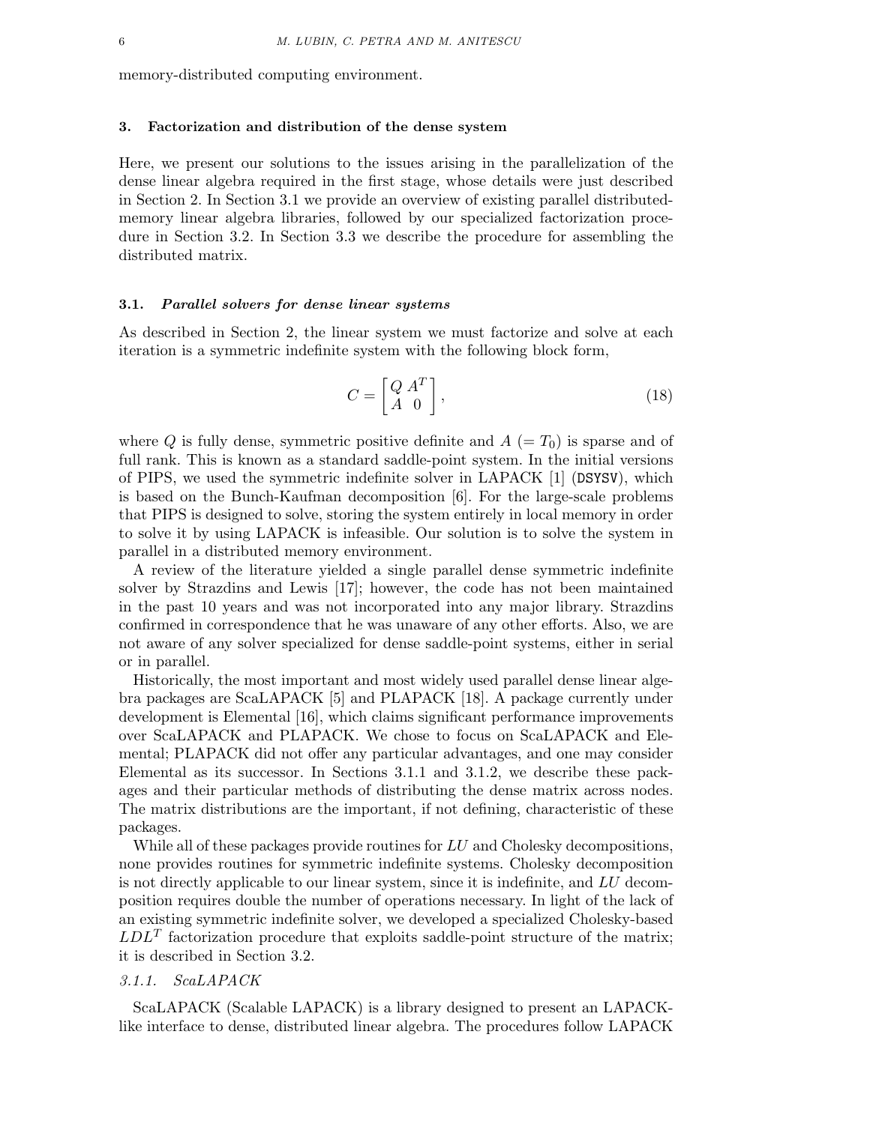memory-distributed computing environment.

## 3. Factorization and distribution of the dense system

Here, we present our solutions to the issues arising in the parallelization of the dense linear algebra required in the first stage, whose details were just described in Section 2. In Section 3.1 we provide an overview of existing parallel distributedmemory linear algebra libraries, followed by our specialized factorization procedure in Section 3.2. In Section 3.3 we describe the procedure for assembling the distributed matrix.

#### 3.1. Parallel solvers for dense linear systems

As described in Section 2, the linear system we must factorize and solve at each iteration is a symmetric indefinite system with the following block form,

$$
C = \begin{bmatrix} Q & A^T \\ A & 0 \end{bmatrix},\tag{18}
$$

where Q is fully dense, symmetric positive definite and  $A (= T_0)$  is sparse and of full rank. This is known as a standard saddle-point system. In the initial versions of PIPS, we used the symmetric indefinite solver in LAPACK [1] (DSYSV), which is based on the Bunch-Kaufman decomposition [6]. For the large-scale problems that PIPS is designed to solve, storing the system entirely in local memory in order to solve it by using LAPACK is infeasible. Our solution is to solve the system in parallel in a distributed memory environment.

A review of the literature yielded a single parallel dense symmetric indefinite solver by Strazdins and Lewis [17]; however, the code has not been maintained in the past 10 years and was not incorporated into any major library. Strazdins confirmed in correspondence that he was unaware of any other efforts. Also, we are not aware of any solver specialized for dense saddle-point systems, either in serial or in parallel.

Historically, the most important and most widely used parallel dense linear algebra packages are ScaLAPACK [5] and PLAPACK [18]. A package currently under development is Elemental [16], which claims significant performance improvements over ScaLAPACK and PLAPACK. We chose to focus on ScaLAPACK and Elemental; PLAPACK did not offer any particular advantages, and one may consider Elemental as its successor. In Sections 3.1.1 and 3.1.2, we describe these packages and their particular methods of distributing the dense matrix across nodes. The matrix distributions are the important, if not defining, characteristic of these packages.

While all of these packages provide routines for  $LU$  and Cholesky decompositions, none provides routines for symmetric indefinite systems. Cholesky decomposition is not directly applicable to our linear system, since it is indefinite, and LU decomposition requires double the number of operations necessary. In light of the lack of an existing symmetric indefinite solver, we developed a specialized Cholesky-based  $LDL<sup>T</sup>$  factorization procedure that exploits saddle-point structure of the matrix; it is described in Section 3.2.

#### 3.1.1. ScaLAPACK

ScaLAPACK (Scalable LAPACK) is a library designed to present an LAPACKlike interface to dense, distributed linear algebra. The procedures follow LAPACK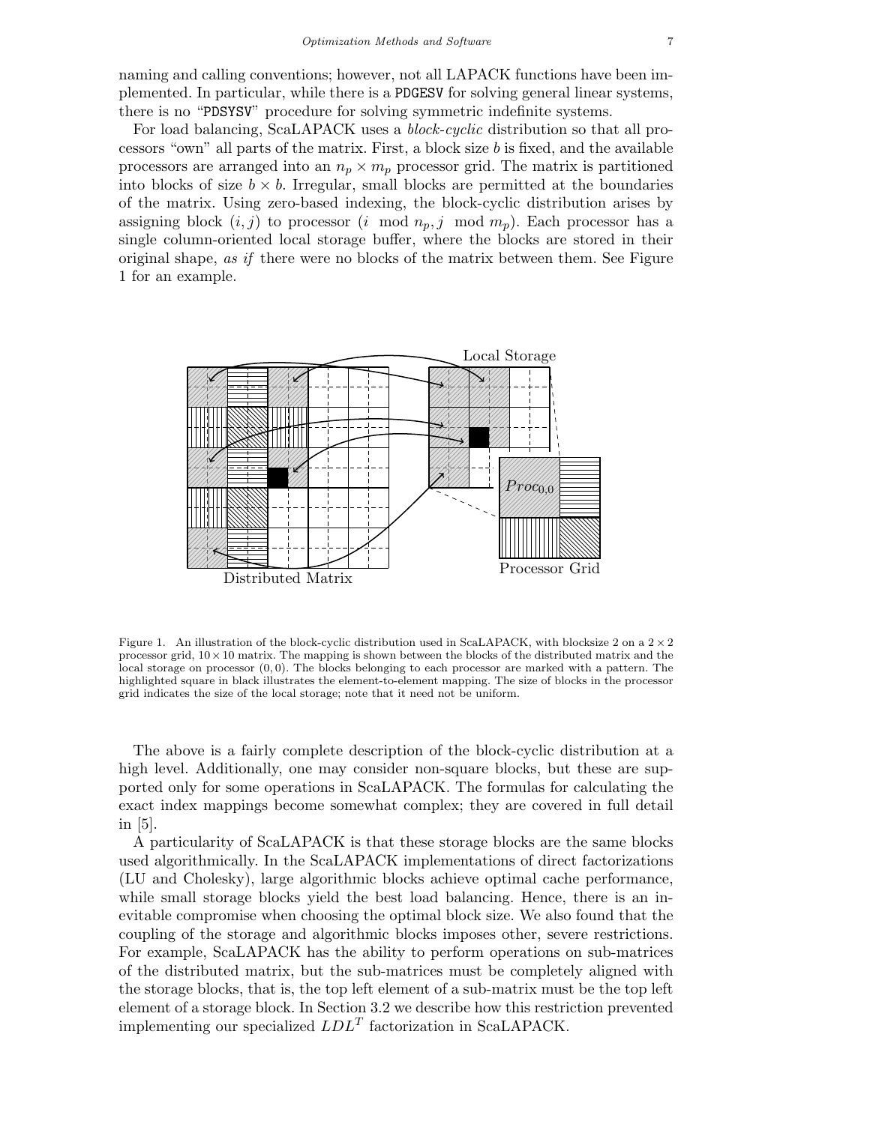naming and calling conventions; however, not all LAPACK functions have been implemented. In particular, while there is a PDGESV for solving general linear systems, there is no "PDSYSV" procedure for solving symmetric indefinite systems.

For load balancing, ScaLAPACK uses a block-cyclic distribution so that all processors "own" all parts of the matrix. First, a block size b is fixed, and the available processors are arranged into an  $n_p \times m_p$  processor grid. The matrix is partitioned into blocks of size  $b \times b$ . Irregular, small blocks are permitted at the boundaries of the matrix. Using zero-based indexing, the block-cyclic distribution arises by assigning block  $(i, j)$  to processor  $(i \mod n_p, j \mod m_p)$ . Each processor has a single column-oriented local storage buffer, where the blocks are stored in their original shape, as if there were no blocks of the matrix between them. See Figure 1 for an example.



Figure 1. An illustration of the block-cyclic distribution used in ScaLAPACK, with blocksize 2 on a  $2 \times 2$ processor grid,  $10 \times 10$  matrix. The mapping is shown between the blocks of the distributed matrix and the local storage on processor  $(0, 0)$ . The blocks belonging to each processor are marked with a pattern. The highlighted square in black illustrates the element-to-element mapping. The size of blocks in the processor grid indicates the size of the local storage; note that it need not be uniform.

The above is a fairly complete description of the block-cyclic distribution at a high level. Additionally, one may consider non-square blocks, but these are supported only for some operations in ScaLAPACK. The formulas for calculating the exact index mappings become somewhat complex; they are covered in full detail in  $|5|$ .

A particularity of ScaLAPACK is that these storage blocks are the same blocks used algorithmically. In the ScaLAPACK implementations of direct factorizations (LU and Cholesky), large algorithmic blocks achieve optimal cache performance, while small storage blocks yield the best load balancing. Hence, there is an inevitable compromise when choosing the optimal block size. We also found that the coupling of the storage and algorithmic blocks imposes other, severe restrictions. For example, ScaLAPACK has the ability to perform operations on sub-matrices of the distributed matrix, but the sub-matrices must be completely aligned with the storage blocks, that is, the top left element of a sub-matrix must be the top left element of a storage block. In Section 3.2 we describe how this restriction prevented implementing our specialized  $LDL<sup>T</sup>$  factorization in ScaLAPACK.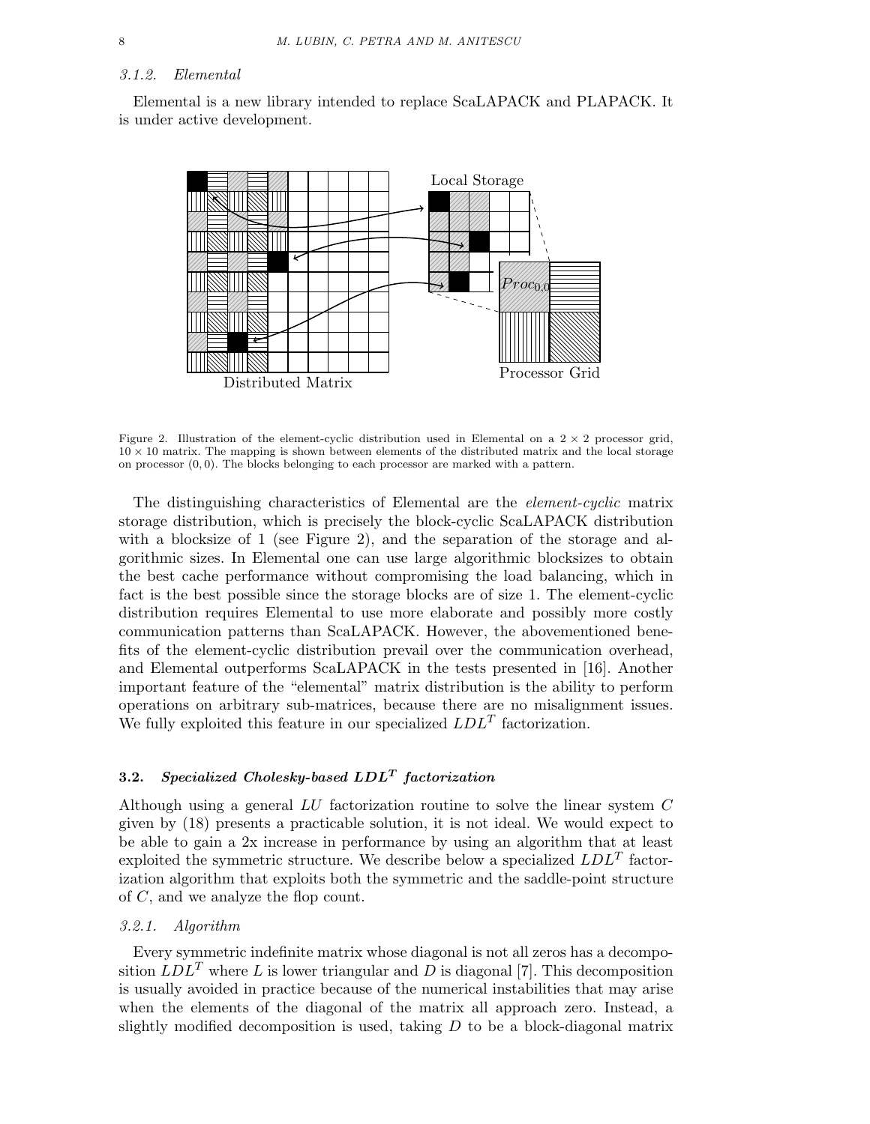#### 3.1.2. Elemental

Elemental is a new library intended to replace ScaLAPACK and PLAPACK. It is under active development.



Figure 2. Illustration of the element-cyclic distribution used in Elemental on a  $2 \times 2$  processor grid,  $10 \times 10$  matrix. The mapping is shown between elements of the distributed matrix and the local storage on processor  $(0, 0)$ . The blocks belonging to each processor are marked with a pattern.

The distinguishing characteristics of Elemental are the *element-cyclic* matrix storage distribution, which is precisely the block-cyclic ScaLAPACK distribution with a blocksize of 1 (see Figure 2), and the separation of the storage and algorithmic sizes. In Elemental one can use large algorithmic blocksizes to obtain the best cache performance without compromising the load balancing, which in fact is the best possible since the storage blocks are of size 1. The element-cyclic distribution requires Elemental to use more elaborate and possibly more costly communication patterns than ScaLAPACK. However, the abovementioned benefits of the element-cyclic distribution prevail over the communication overhead, and Elemental outperforms ScaLAPACK in the tests presented in [16]. Another important feature of the "elemental" matrix distribution is the ability to perform operations on arbitrary sub-matrices, because there are no misalignment issues. We fully exploited this feature in our specialized  $LDL<sup>T</sup>$  factorization.

## 3.2. Specialized Cholesky-based  $LDL<sup>T</sup>$  factorization

Although using a general LU factorization routine to solve the linear system C given by (18) presents a practicable solution, it is not ideal. We would expect to be able to gain a 2x increase in performance by using an algorithm that at least exploited the symmetric structure. We describe below a specialized  $LDL<sup>T</sup>$  factorization algorithm that exploits both the symmetric and the saddle-point structure of  $C$ , and we analyze the flop count.

## 3.2.1. Algorithm

Every symmetric indefinite matrix whose diagonal is not all zeros has a decomposition  $LDL<sup>T</sup>$  where L is lower triangular and D is diagonal [7]. This decomposition is usually avoided in practice because of the numerical instabilities that may arise when the elements of the diagonal of the matrix all approach zero. Instead, a slightly modified decomposition is used, taking  $D$  to be a block-diagonal matrix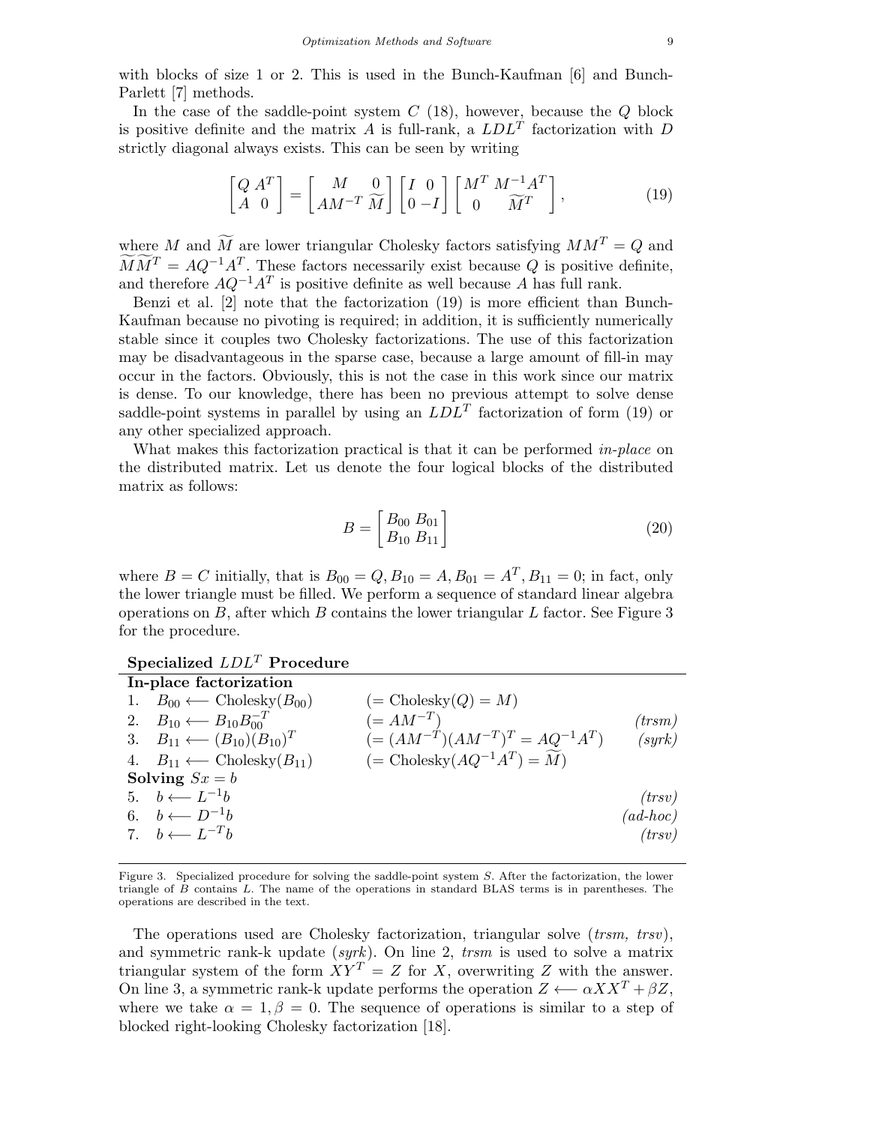with blocks of size 1 or 2. This is used in the Bunch-Kaufman [6] and Bunch-Parlett [7] methods.

In the case of the saddle-point system  $C(18)$ , however, because the  $Q$  block is positive definite and the matrix A is full-rank, a  $LDL<sup>T</sup>$  factorization with D strictly diagonal always exists. This can be seen by writing

$$
\begin{bmatrix} Q & A^T \ A & 0 \end{bmatrix} = \begin{bmatrix} M & 0 \ AM^{-T} & \widetilde{M} \end{bmatrix} \begin{bmatrix} I & 0 \ 0 & -I \end{bmatrix} \begin{bmatrix} M^T & M^{-1}A^T \ 0 & \widetilde{M}^T \end{bmatrix},
$$
(19)

where M and  $\widetilde{M}$  are lower triangular Cholesky factors satisfying  $MM^T = Q$  and  $\widetilde{MM}^T = AQ^{-1}A^T$ . These factors necessarily exist because Q is positive definite, and therefore  $AQ^{-1}A^T$  is positive definite as well because A has full rank.

Benzi et al. [2] note that the factorization (19) is more efficient than Bunch-Kaufman because no pivoting is required; in addition, it is sufficiently numerically stable since it couples two Cholesky factorizations. The use of this factorization may be disadvantageous in the sparse case, because a large amount of fill-in may occur in the factors. Obviously, this is not the case in this work since our matrix is dense. To our knowledge, there has been no previous attempt to solve dense saddle-point systems in parallel by using an  $LDL<sup>T</sup>$  factorization of form (19) or any other specialized approach.

What makes this factorization practical is that it can be performed *in-place* on the distributed matrix. Let us denote the four logical blocks of the distributed matrix as follows:

$$
B = \begin{bmatrix} B_{00} & B_{01} \\ B_{10} & B_{11} \end{bmatrix} \tag{20}
$$

where  $B = C$  initially, that is  $B_{00} = Q, B_{10} = A, B_{01} = A^T, B_{11} = 0$ ; in fact, only the lower triangle must be filled. We perform a sequence of standard linear algebra operations on  $B$ , after which  $B$  contains the lower triangular  $L$  factor. See Figure 3 for the procedure.

| In-place factorization                         |                                              |            |
|------------------------------------------------|----------------------------------------------|------------|
| $B_{00} \longleftarrow$ Cholesky $(B_{00})$    | $(=\mathrm{Cholesky}(Q)=M)$                  |            |
| 2. $B_{10} \leftarrow B_{10} B_{00}^{-T}$      | $(=AM^{-T})$                                 | (trsm)     |
| 3. $B_{11} \longleftarrow (B_{10})(B_{10})^T$  | $(=(AM^{-T})(AM^{-T})^T = AQ^{-1}A^T)$       | (syrk)     |
| 4. $B_{11} \leftarrow \text{Cholesky}(B_{11})$ | (= Cholesky $(AQ^{-1}A^T) = \widetilde{M}$ ) |            |
| Solving $Sx = b$                               |                                              |            |
| 5. $b \leftarrow L^{-1}b$                      |                                              | (trsv)     |
| 6. $b \leftarrow D^{-1}b$                      |                                              | $(ad-hoc)$ |
| 7. $b \leftarrow L^{-T}b$                      |                                              | (trsv)     |
|                                                |                                              |            |

Figure 3. Specialized procedure for solving the saddle-point system S. After the factorization, the lower triangle of B contains L. The name of the operations in standard BLAS terms is in parentheses. The operations are described in the text.

The operations used are Cholesky factorization, triangular solve  $(trsm, trsv)$ , and symmetric rank-k update  $(syrk)$ . On line 2, trsm is used to solve a matrix triangular system of the form  $XY^T = Z$  for X, overwriting Z with the answer. On line 3, a symmetric rank-k update performs the operation  $Z \leftarrow \alpha X X^T + \beta Z$ , where we take  $\alpha = 1, \beta = 0$ . The sequence of operations is similar to a step of blocked right-looking Cholesky factorization [18].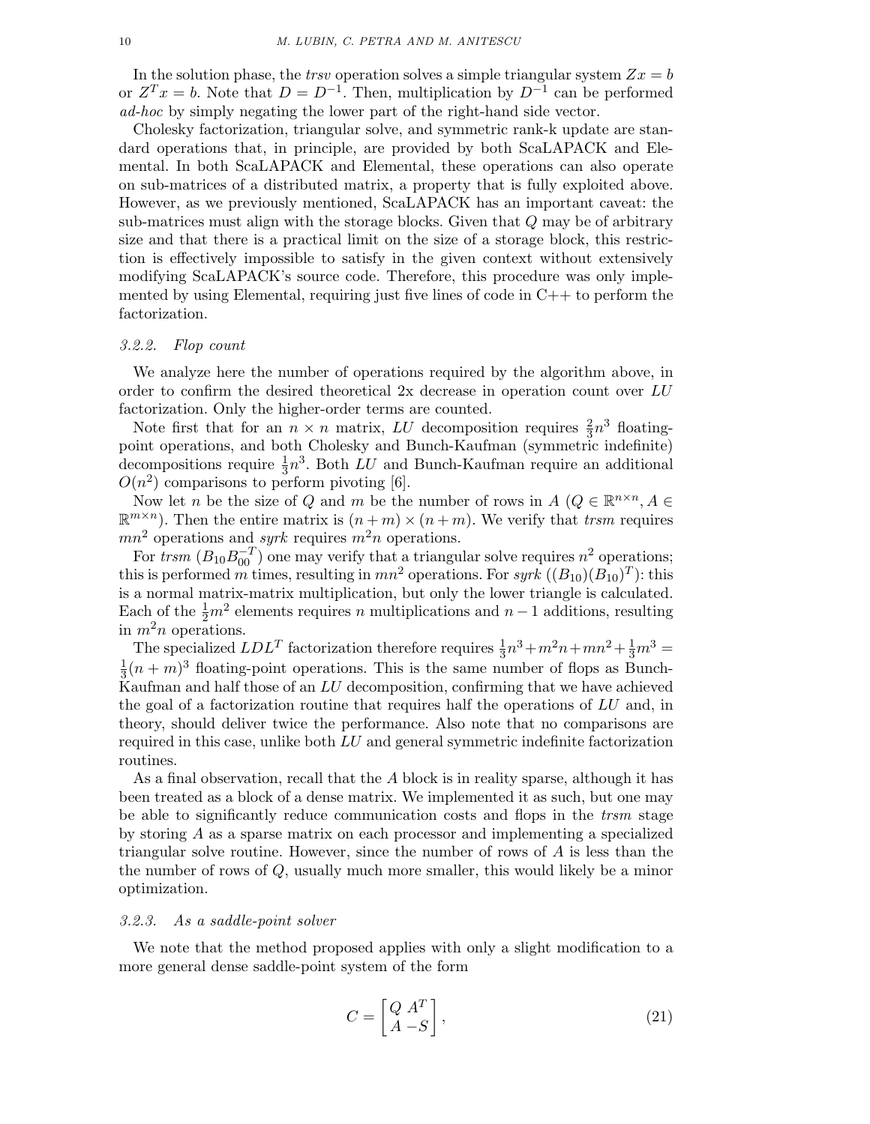In the solution phase, the *trsv* operation solves a simple triangular system  $Zx = b$ or  $Z^{T} x = b$ . Note that  $D = D^{-1}$ . Then, multiplication by  $D^{-1}$  can be performed ad-hoc by simply negating the lower part of the right-hand side vector.

Cholesky factorization, triangular solve, and symmetric rank-k update are standard operations that, in principle, are provided by both ScaLAPACK and Elemental. In both ScaLAPACK and Elemental, these operations can also operate on sub-matrices of a distributed matrix, a property that is fully exploited above. However, as we previously mentioned, ScaLAPACK has an important caveat: the sub-matrices must align with the storage blocks. Given that  $Q$  may be of arbitrary size and that there is a practical limit on the size of a storage block, this restriction is effectively impossible to satisfy in the given context without extensively modifying ScaLAPACK's source code. Therefore, this procedure was only implemented by using Elemental, requiring just five lines of code in  $C++$  to perform the factorization.

## 3.2.2. Flop count

We analyze here the number of operations required by the algorithm above, in order to confirm the desired theoretical 2x decrease in operation count over LU factorization. Only the higher-order terms are counted.

Note first that for an  $n \times n$  matrix, LU decomposition requires  $\frac{2}{3}n^3$  floatingpoint operations, and both Cholesky and Bunch-Kaufman (symmetric indefinite) decompositions require  $\frac{1}{3}n^3$ . Both LU and Bunch-Kaufman require an additional  $O(n^2)$  comparisons to perform pivoting [6].

Now let *n* be the size of Q and *m* be the number of rows in  $A$  ( $Q \in \mathbb{R}^{n \times n}$ ,  $A \in$  $\mathbb{R}^{m \times n}$ ). Then the entire matrix is  $(n+m) \times (n+m)$ . We verify that trsm requires  $mn^2$  operations and syrk requires  $m^2n$  operations.

For trsm  $(B_{10}B_{00}^{-T})$  one may verify that a triangular solve requires  $n^2$  operations; this is performed m times, resulting in  $mn^2$  operations. For  $syrk ((B_{10})(B_{10})^T)$ : this is a normal matrix-matrix multiplication, but only the lower triangle is calculated. Each of the  $\frac{1}{2}m^2$  elements requires n multiplications and  $n-1$  additions, resulting in  $m^2n$  operations.

The specialized  $LDL^{T}$  factorization therefore requires  $\frac{1}{3}n^{3} + m^{2}n + mn^{2} + \frac{1}{3}m^{3} =$ 1  $\frac{1}{3}(n+m)^3$  floating-point operations. This is the same number of flops as Bunch-Kaufman and half those of an LU decomposition, confirming that we have achieved the goal of a factorization routine that requires half the operations of LU and, in theory, should deliver twice the performance. Also note that no comparisons are required in this case, unlike both  $LU$  and general symmetric indefinite factorization routines.

As a final observation, recall that the A block is in reality sparse, although it has been treated as a block of a dense matrix. We implemented it as such, but one may be able to significantly reduce communication costs and flops in the trsm stage by storing A as a sparse matrix on each processor and implementing a specialized triangular solve routine. However, since the number of rows of A is less than the the number of rows of  $Q$ , usually much more smaller, this would likely be a minor optimization.

#### 3.2.3. As a saddle-point solver

We note that the method proposed applies with only a slight modification to a more general dense saddle-point system of the form

$$
C = \begin{bmatrix} Q & A^T \\ A & -S \end{bmatrix},\tag{21}
$$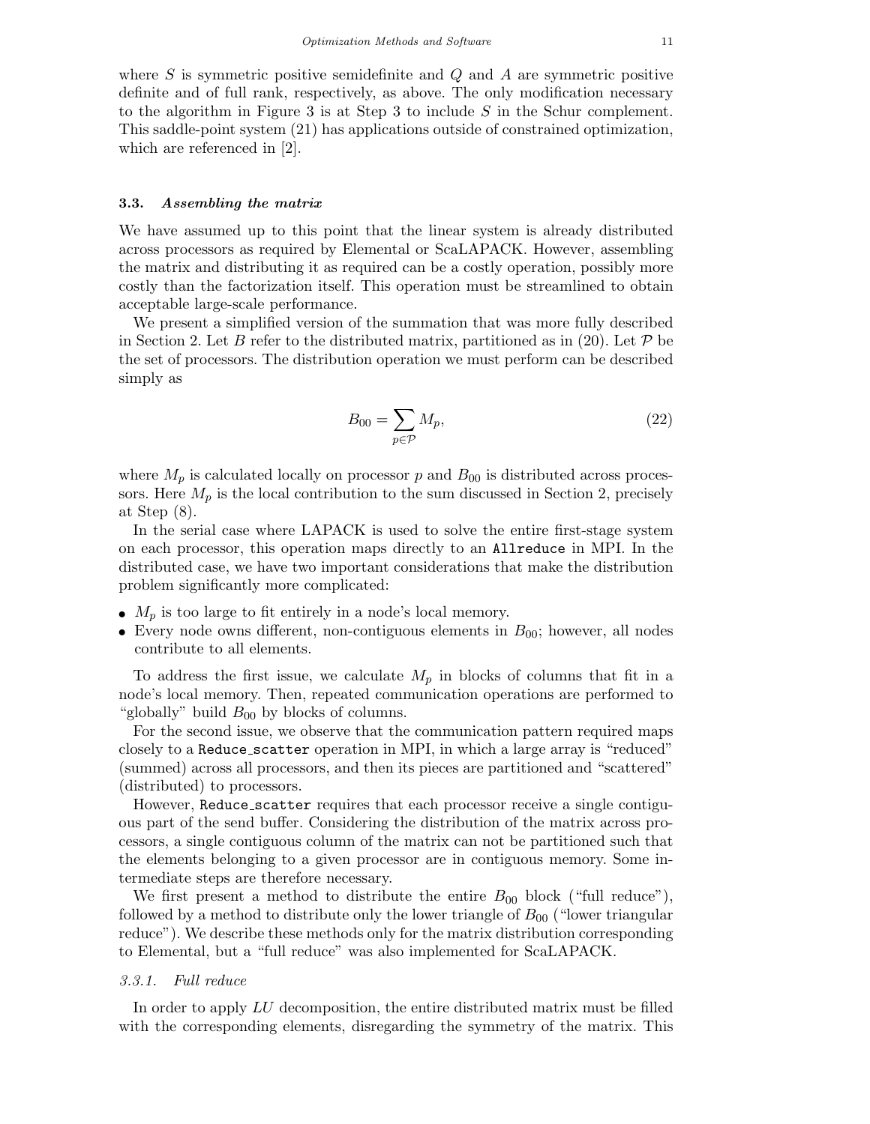where  $S$  is symmetric positive semidefinite and  $Q$  and  $A$  are symmetric positive definite and of full rank, respectively, as above. The only modification necessary to the algorithm in Figure 3 is at Step 3 to include S in the Schur complement. This saddle-point system (21) has applications outside of constrained optimization, which are referenced in [2].

## 3.3. Assembling the matrix

We have assumed up to this point that the linear system is already distributed across processors as required by Elemental or ScaLAPACK. However, assembling the matrix and distributing it as required can be a costly operation, possibly more costly than the factorization itself. This operation must be streamlined to obtain acceptable large-scale performance.

We present a simplified version of the summation that was more fully described in Section 2. Let B refer to the distributed matrix, partitioned as in (20). Let  $\mathcal P$  be the set of processors. The distribution operation we must perform can be described simply as

$$
B_{00} = \sum_{p \in \mathcal{P}} M_p,\tag{22}
$$

where  $M_p$  is calculated locally on processor p and  $B_{00}$  is distributed across processors. Here  $M_p$  is the local contribution to the sum discussed in Section 2, precisely at Step (8).

In the serial case where LAPACK is used to solve the entire first-stage system on each processor, this operation maps directly to an Allreduce in MPI. In the distributed case, we have two important considerations that make the distribution problem significantly more complicated:

- $M_p$  is too large to fit entirely in a node's local memory.
- Every node owns different, non-contiguous elements in  $B_{00}$ ; however, all nodes contribute to all elements.

To address the first issue, we calculate  $M_p$  in blocks of columns that fit in a node's local memory. Then, repeated communication operations are performed to "globally" build  $B_{00}$  by blocks of columns.

For the second issue, we observe that the communication pattern required maps closely to a Reduce scatter operation in MPI, in which a large array is "reduced" (summed) across all processors, and then its pieces are partitioned and "scattered" (distributed) to processors.

However, Reduce scatter requires that each processor receive a single contiguous part of the send buffer. Considering the distribution of the matrix across processors, a single contiguous column of the matrix can not be partitioned such that the elements belonging to a given processor are in contiguous memory. Some intermediate steps are therefore necessary.

We first present a method to distribute the entire  $B_{00}$  block ("full reduce"), followed by a method to distribute only the lower triangle of  $B_{00}$  ("lower triangular reduce"). We describe these methods only for the matrix distribution corresponding to Elemental, but a "full reduce" was also implemented for ScaLAPACK.

## 3.3.1. Full reduce

In order to apply LU decomposition, the entire distributed matrix must be filled with the corresponding elements, disregarding the symmetry of the matrix. This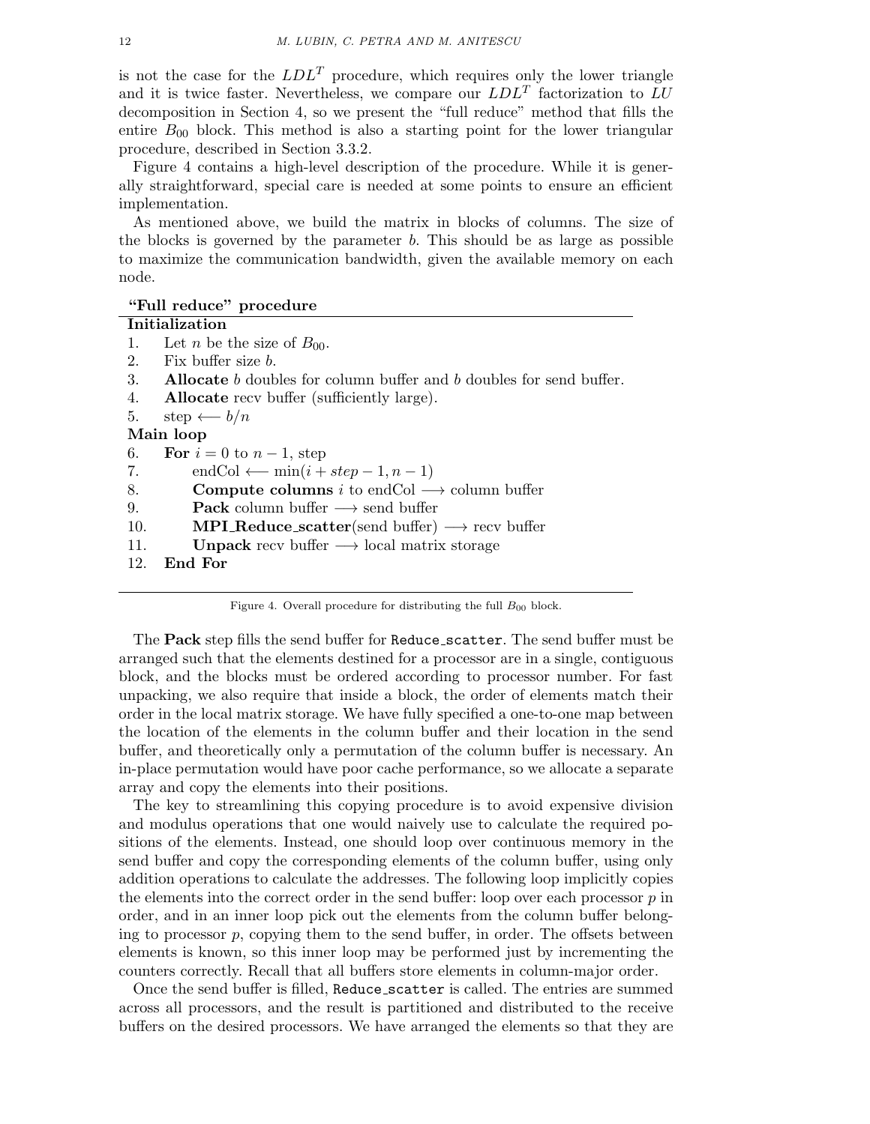is not the case for the  $LDL<sup>T</sup>$  procedure, which requires only the lower triangle and it is twice faster. Nevertheless, we compare our  $LDL<sup>T</sup>$  factorization to  $LU$ decomposition in Section 4, so we present the "full reduce" method that fills the entire  $B_{00}$  block. This method is also a starting point for the lower triangular procedure, described in Section 3.3.2.

Figure 4 contains a high-level description of the procedure. While it is generally straightforward, special care is needed at some points to ensure an efficient implementation.

As mentioned above, we build the matrix in blocks of columns. The size of the blocks is governed by the parameter  $b$ . This should be as large as possible to maximize the communication bandwidth, given the available memory on each node.

## "Full reduce" procedure

|     | Initialization                                                             |
|-----|----------------------------------------------------------------------------|
| 1.  | Let <i>n</i> be the size of $B_{00}$ .                                     |
| 2.  | Fix buffer size <i>b</i> .                                                 |
| 3.  | <b>Allocate</b> b doubles for column buffer and b doubles for send buffer. |
| 4.  | <b>Allocate</b> recy buffer (sufficiently large).                          |
| 5.  | step $\longleftarrow b/n$                                                  |
|     | Main loop                                                                  |
| 6.  | For $i=0$ to $n-1$ , step                                                  |
| 7.  | endCol $\longleftarrow$ min $(i + step - 1, n - 1)$                        |
| 8.  | <b>Compute columns</b> i to endCol $\rightarrow$ column buffer             |
| 9.  | <b>Pack</b> column buffer $\longrightarrow$ send buffer                    |
| 10. | <b>MPI_Reduce_scatter</b> (send buffer) $\longrightarrow$ recy buffer      |
| 11. | <b>Unpack</b> recy buffer $\rightarrow$ local matrix storage               |
| 12. | End For                                                                    |
|     |                                                                            |
|     |                                                                            |

Figure 4. Overall procedure for distributing the full  $B_{00}$  block.

The **Pack** step fills the send buffer for Reduce\_scatter. The send buffer must be arranged such that the elements destined for a processor are in a single, contiguous block, and the blocks must be ordered according to processor number. For fast unpacking, we also require that inside a block, the order of elements match their order in the local matrix storage. We have fully specified a one-to-one map between the location of the elements in the column buffer and their location in the send buffer, and theoretically only a permutation of the column buffer is necessary. An in-place permutation would have poor cache performance, so we allocate a separate array and copy the elements into their positions.

The key to streamlining this copying procedure is to avoid expensive division and modulus operations that one would naively use to calculate the required positions of the elements. Instead, one should loop over continuous memory in the send buffer and copy the corresponding elements of the column buffer, using only addition operations to calculate the addresses. The following loop implicitly copies the elements into the correct order in the send buffer: loop over each processor  $p$  in order, and in an inner loop pick out the elements from the column buffer belonging to processor  $p$ , copying them to the send buffer, in order. The offsets between elements is known, so this inner loop may be performed just by incrementing the counters correctly. Recall that all buffers store elements in column-major order.

Once the send buffer is filled, Reduce scatter is called. The entries are summed across all processors, and the result is partitioned and distributed to the receive buffers on the desired processors. We have arranged the elements so that they are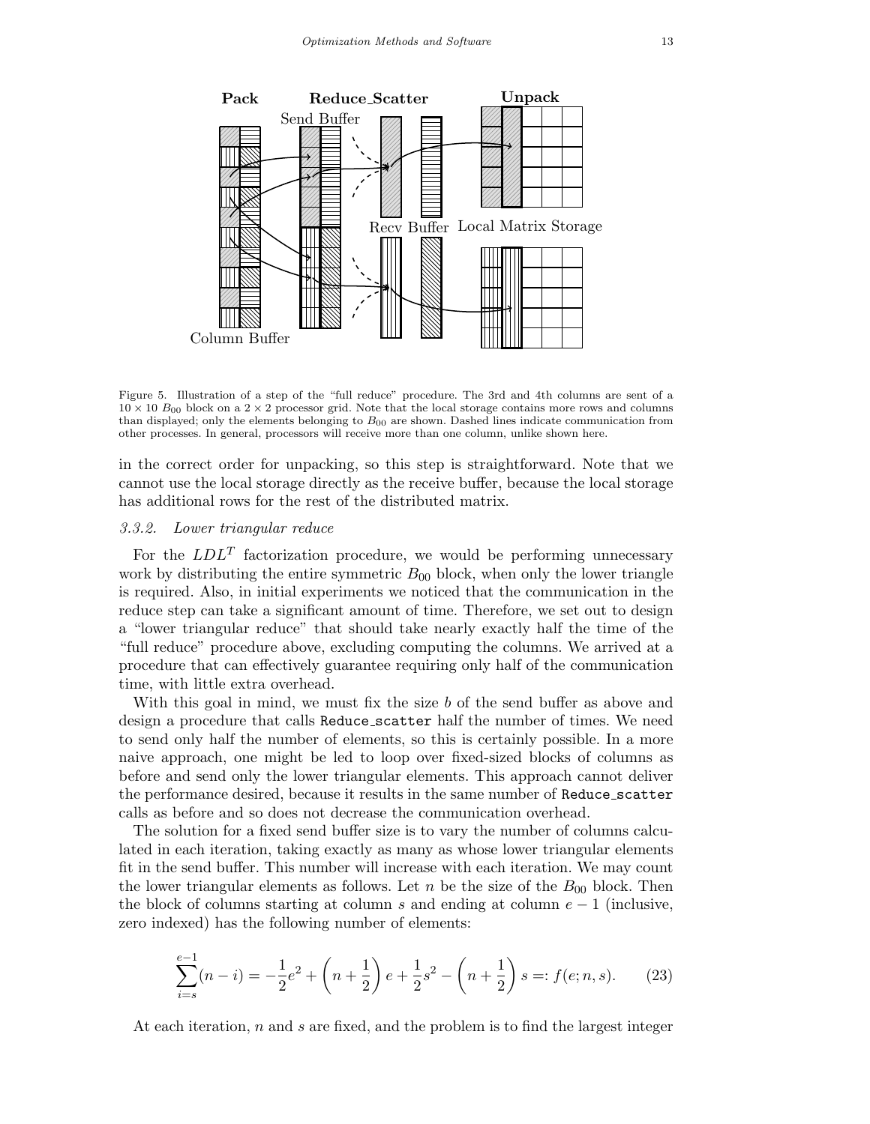

Figure 5. Illustration of a step of the "full reduce" procedure. The 3rd and 4th columns are sent of a  $10 \times 10$  B<sub>00</sub> block on a 2  $\times$  2 processor grid. Note that the local storage contains more rows and columns than displayed; only the elements belonging to  $B_{00}$  are shown. Dashed lines indicate communication from other processes. In general, processors will receive more than one column, unlike shown here.

in the correct order for unpacking, so this step is straightforward. Note that we cannot use the local storage directly as the receive buffer, because the local storage has additional rows for the rest of the distributed matrix.

#### 3.3.2. Lower triangular reduce

For the  $LDL<sup>T</sup>$  factorization procedure, we would be performing unnecessary work by distributing the entire symmetric  $B_{00}$  block, when only the lower triangle is required. Also, in initial experiments we noticed that the communication in the reduce step can take a significant amount of time. Therefore, we set out to design a "lower triangular reduce" that should take nearly exactly half the time of the "full reduce" procedure above, excluding computing the columns. We arrived at a procedure that can effectively guarantee requiring only half of the communication time, with little extra overhead.

With this goal in mind, we must fix the size  $b$  of the send buffer as above and design a procedure that calls Reduce scatter half the number of times. We need to send only half the number of elements, so this is certainly possible. In a more naive approach, one might be led to loop over fixed-sized blocks of columns as before and send only the lower triangular elements. This approach cannot deliver the performance desired, because it results in the same number of Reduce scatter calls as before and so does not decrease the communication overhead.

The solution for a fixed send buffer size is to vary the number of columns calculated in each iteration, taking exactly as many as whose lower triangular elements fit in the send buffer. This number will increase with each iteration. We may count the lower triangular elements as follows. Let n be the size of the  $B_{00}$  block. Then the block of columns starting at column s and ending at column  $e - 1$  (inclusive, zero indexed) has the following number of elements:

$$
\sum_{i=s}^{e-1} (n-i) = -\frac{1}{2}e^2 + \left(n + \frac{1}{2}\right)e + \frac{1}{2}s^2 - \left(n + \frac{1}{2}\right)s =: f(e; n, s).
$$
 (23)

At each iteration,  $n$  and  $s$  are fixed, and the problem is to find the largest integer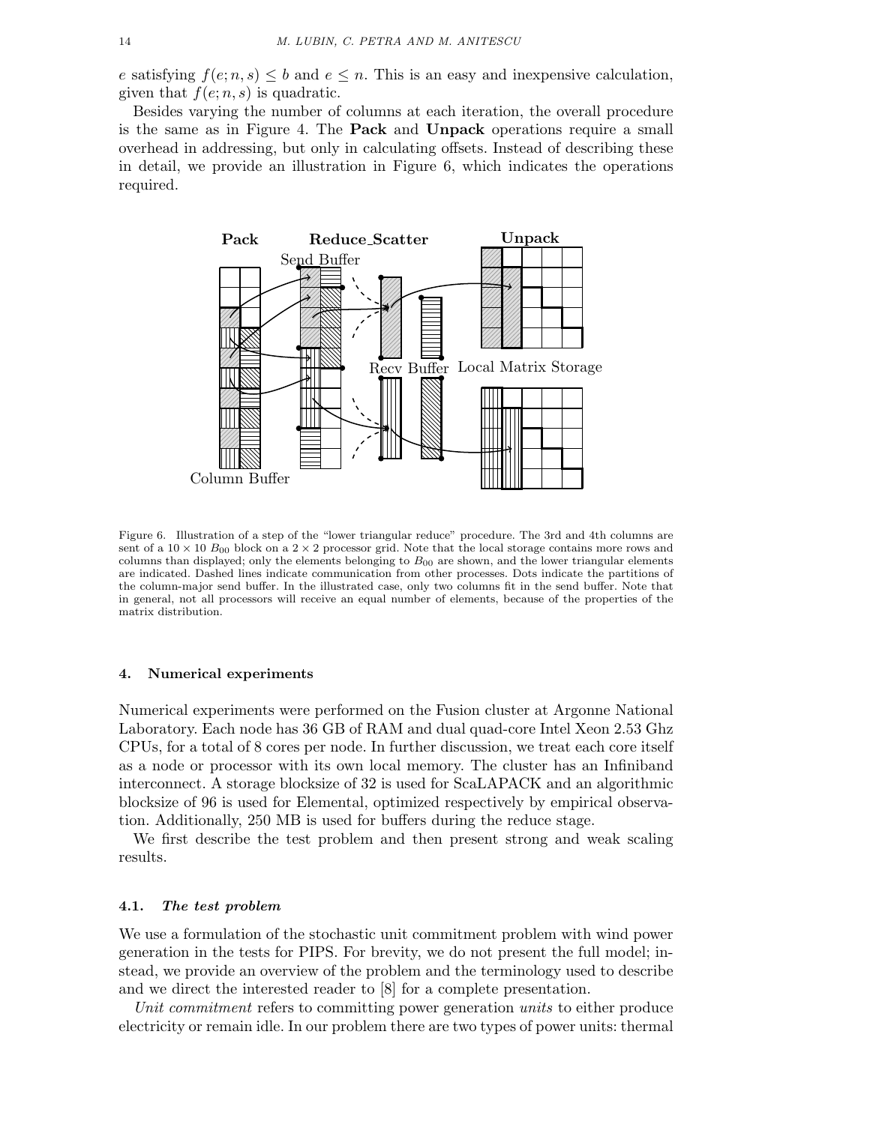e satisfying  $f(e; n, s) \leq b$  and  $e \leq n$ . This is an easy and inexpensive calculation, given that  $f(e; n, s)$  is quadratic.

Besides varying the number of columns at each iteration, the overall procedure is the same as in Figure 4. The Pack and Unpack operations require a small overhead in addressing, but only in calculating offsets. Instead of describing these in detail, we provide an illustration in Figure 6, which indicates the operations required.



Figure 6. Illustration of a step of the "lower triangular reduce" procedure. The 3rd and 4th columns are sent of a  $10 \times 10$  B<sub>00</sub> block on a  $2 \times 2$  processor grid. Note that the local storage contains more rows and columns than displayed; only the elements belonging to  $B_{00}$  are shown, and the lower triangular elements are indicated. Dashed lines indicate communication from other processes. Dots indicate the partitions of the column-major send buffer. In the illustrated case, only two columns fit in the send buffer. Note that in general, not all processors will receive an equal number of elements, because of the properties of the matrix distribution.

### 4. Numerical experiments

Numerical experiments were performed on the Fusion cluster at Argonne National Laboratory. Each node has 36 GB of RAM and dual quad-core Intel Xeon 2.53 Ghz CPUs, for a total of 8 cores per node. In further discussion, we treat each core itself as a node or processor with its own local memory. The cluster has an Infiniband interconnect. A storage blocksize of 32 is used for ScaLAPACK and an algorithmic blocksize of 96 is used for Elemental, optimized respectively by empirical observation. Additionally, 250 MB is used for buffers during the reduce stage.

We first describe the test problem and then present strong and weak scaling results.

## 4.1. The test problem

We use a formulation of the stochastic unit commitment problem with wind power generation in the tests for PIPS. For brevity, we do not present the full model; instead, we provide an overview of the problem and the terminology used to describe and we direct the interested reader to [8] for a complete presentation.

Unit commitment refers to committing power generation units to either produce electricity or remain idle. In our problem there are two types of power units: thermal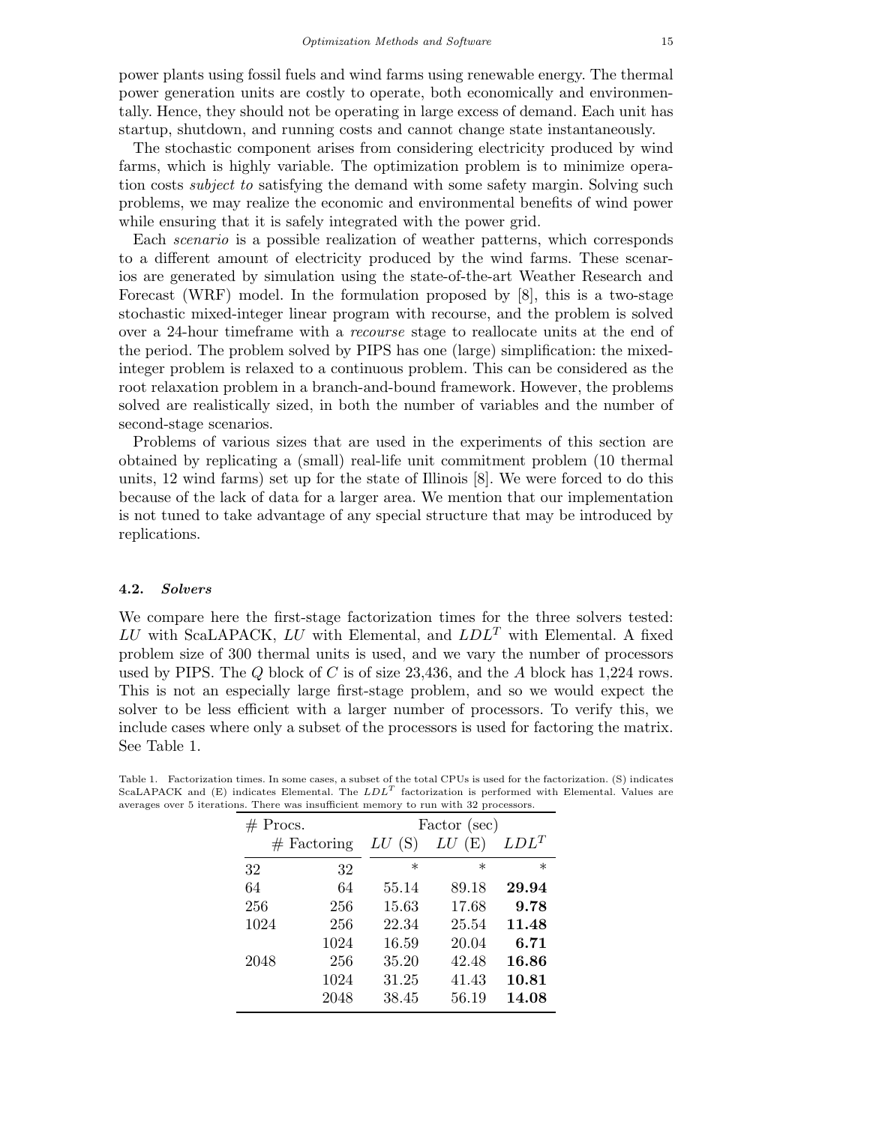power plants using fossil fuels and wind farms using renewable energy. The thermal power generation units are costly to operate, both economically and environmentally. Hence, they should not be operating in large excess of demand. Each unit has startup, shutdown, and running costs and cannot change state instantaneously.

The stochastic component arises from considering electricity produced by wind farms, which is highly variable. The optimization problem is to minimize operation costs *subject to* satisfying the demand with some safety margin. Solving such problems, we may realize the economic and environmental benefits of wind power while ensuring that it is safely integrated with the power grid.

Each scenario is a possible realization of weather patterns, which corresponds to a different amount of electricity produced by the wind farms. These scenarios are generated by simulation using the state-of-the-art Weather Research and Forecast (WRF) model. In the formulation proposed by [8], this is a two-stage stochastic mixed-integer linear program with recourse, and the problem is solved over a 24-hour timeframe with a recourse stage to reallocate units at the end of the period. The problem solved by PIPS has one (large) simplification: the mixedinteger problem is relaxed to a continuous problem. This can be considered as the root relaxation problem in a branch-and-bound framework. However, the problems solved are realistically sized, in both the number of variables and the number of second-stage scenarios.

Problems of various sizes that are used in the experiments of this section are obtained by replicating a (small) real-life unit commitment problem (10 thermal units, 12 wind farms) set up for the state of Illinois [8]. We were forced to do this because of the lack of data for a larger area. We mention that our implementation is not tuned to take advantage of any special structure that may be introduced by replications.

## 4.2. Solvers

We compare here the first-stage factorization times for the three solvers tested:  $LU$  with ScaLAPACK,  $LU$  with Elemental, and  $LDL<sup>T</sup>$  with Elemental. A fixed problem size of 300 thermal units is used, and we vary the number of processors used by PIPS. The  $Q$  block of  $C$  is of size 23,436, and the  $A$  block has 1,224 rows. This is not an especially large first-stage problem, and so we would expect the solver to be less efficient with a larger number of processors. To verify this, we include cases where only a subset of the processors is used for factoring the matrix. See Table 1.

| э. Incre was msumerent memory to run with o2 processors. |               |              |          |                  |  |  |
|----------------------------------------------------------|---------------|--------------|----------|------------------|--|--|
| $#$ Procs.                                               |               | Factor (sec) |          |                  |  |  |
|                                                          | $#$ Factoring | $LU$ (S)     | $LU$ (E) | LDL <sup>T</sup> |  |  |
| 32                                                       | 32            | $\ast$       | $\ast$   | $\ast$           |  |  |
| 64                                                       | 64            | 55.14        | 89.18    | 29.94            |  |  |
| 256                                                      | 256           | 15.63        | 17.68    | 9.78             |  |  |
| 1024                                                     | 256           | 22.34        | 25.54    | 11.48            |  |  |
|                                                          | 1024          | 16.59        | 20.04    | 6.71             |  |  |
| 2048                                                     | 256           | 35.20        | 42.48    | 16.86            |  |  |
|                                                          | 1024          | 31.25        | 41.43    | 10.81            |  |  |
|                                                          | 2048          | 38.45        | 56.19    | 14.08            |  |  |

Table 1. Factorization times. In some cases, a subset of the total CPUs is used for the factorization. (S) indicates ScaLAPACK and (E) indicates Elemental. The  $LDL<sup>T</sup>$  factorization is performed with Elemental. Values are averages over 5 iterations. There was insufficient memory to run with 32 processors.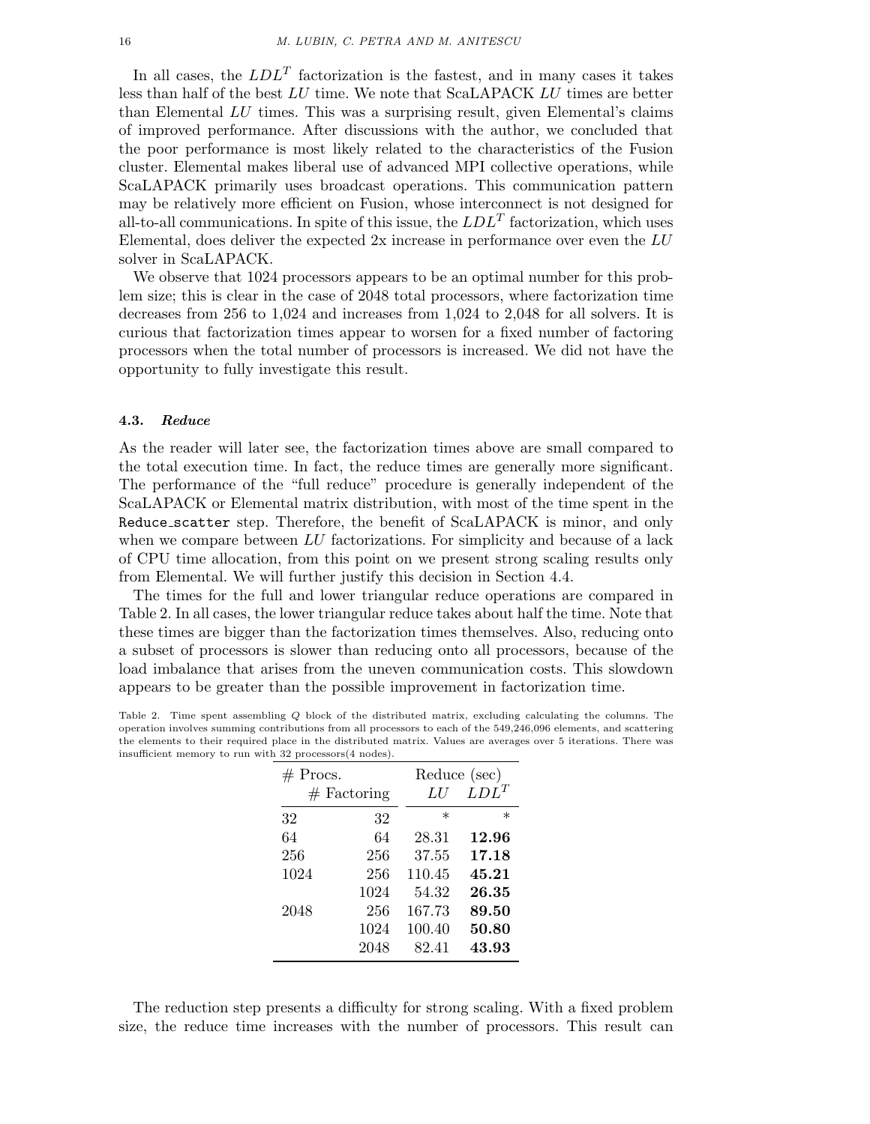In all cases, the  $LDL<sup>T</sup>$  factorization is the fastest, and in many cases it takes less than half of the best LU time. We note that ScaLAPACK LU times are better than Elemental LU times. This was a surprising result, given Elemental's claims of improved performance. After discussions with the author, we concluded that the poor performance is most likely related to the characteristics of the Fusion cluster. Elemental makes liberal use of advanced MPI collective operations, while ScaLAPACK primarily uses broadcast operations. This communication pattern may be relatively more efficient on Fusion, whose interconnect is not designed for all-to-all communications. In spite of this issue, the  $LDL<sup>T</sup>$  factorization, which uses Elemental, does deliver the expected 2x increase in performance over even the LU solver in ScaLAPACK.

We observe that 1024 processors appears to be an optimal number for this problem size; this is clear in the case of 2048 total processors, where factorization time decreases from 256 to 1,024 and increases from 1,024 to 2,048 for all solvers. It is curious that factorization times appear to worsen for a fixed number of factoring processors when the total number of processors is increased. We did not have the opportunity to fully investigate this result.

#### 4.3. Reduce

As the reader will later see, the factorization times above are small compared to the total execution time. In fact, the reduce times are generally more significant. The performance of the "full reduce" procedure is generally independent of the ScaLAPACK or Elemental matrix distribution, with most of the time spent in the Reduce scatter step. Therefore, the benefit of ScaLAPACK is minor, and only when we compare between LU factorizations. For simplicity and because of a lack of CPU time allocation, from this point on we present strong scaling results only from Elemental. We will further justify this decision in Section 4.4.

The times for the full and lower triangular reduce operations are compared in Table 2. In all cases, the lower triangular reduce takes about half the time. Note that these times are bigger than the factorization times themselves. Also, reducing onto a subset of processors is slower than reducing onto all processors, because of the load imbalance that arises from the uneven communication costs. This slowdown appears to be greater than the possible improvement in factorization time.

Table 2. Time spent assembling Q block of the distributed matrix, excluding calculating the columns. The operation involves summing contributions from all processors to each of the 549,246,096 elements, and scattering the elements to their required place in the distributed matrix. Values are averages over 5 iterations. There was insufficient memory to run with 32 processors(4 nodes).

| $#$ Procs. |               | Reduce (sec) |         |  |
|------------|---------------|--------------|---------|--|
|            | $#$ Factoring | LI           | $LDL^T$ |  |
| 32         | 32            | $^\ast$      | $^\ast$ |  |
| 64         | 64            | 28.31        | 12.96   |  |
| 256        | 256           | 37.55        | 17.18   |  |
| 1024       | 256           | 110.45       | 45.21   |  |
|            | 1024          | 54.32        | 26.35   |  |
| 2048       | 256           | 167.73       | 89.50   |  |
|            | 1024          | 100.40       | 50.80   |  |
|            | 2048          | 82.41        | 43.93   |  |

The reduction step presents a difficulty for strong scaling. With a fixed problem size, the reduce time increases with the number of processors. This result can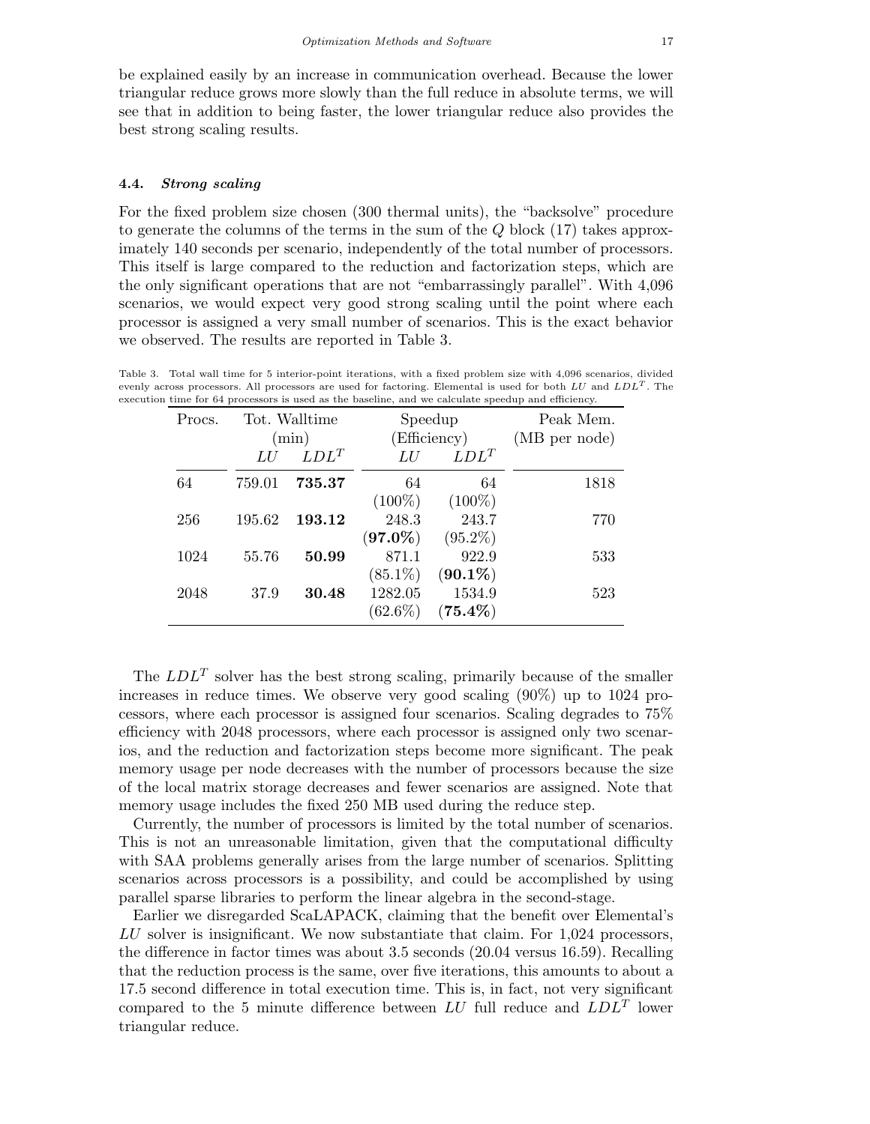be explained easily by an increase in communication overhead. Because the lower triangular reduce grows more slowly than the full reduce in absolute terms, we will see that in addition to being faster, the lower triangular reduce also provides the best strong scaling results.

## 4.4. Strong scaling

For the fixed problem size chosen (300 thermal units), the "backsolve" procedure to generate the columns of the terms in the sum of the Q block (17) takes approximately 140 seconds per scenario, independently of the total number of processors. This itself is large compared to the reduction and factorization steps, which are the only significant operations that are not "embarrassingly parallel". With 4,096 scenarios, we would expect very good strong scaling until the point where each processor is assigned a very small number of scenarios. This is the exact behavior we observed. The results are reported in Table 3.

Table 3. Total wall time for 5 interior-point iterations, with a fixed problem size with 4,096 scenarios, divided evenly across processors. All processors are used for factoring. Elemental is used for both  $LU$  and  $LDL<sup>T</sup>$ . The execution time for 64 processors is used as the baseline, and we calculate speedup and efficiency.

| Procs. |        | Tot. Walltime<br>(min) |            | Speedup<br>(Efficiency) | Peak Mem.<br>(MB per node) |
|--------|--------|------------------------|------------|-------------------------|----------------------------|
|        | ЫU     | $LDL^T$                | LI         | LDL <sup>T</sup>        |                            |
| 64     | 759.01 | 735.37                 | 64         | 64                      | 1818                       |
|        |        |                        | $(100\%)$  | $(100\%)$               |                            |
| 256    | 195.62 | 193.12                 | 248.3      | 243.7                   | 770                        |
|        |        |                        | $(97.0\%)$ | $(95.2\%)$              |                            |
| 1024   | 55.76  | 50.99                  | 871.1      | 922.9                   | 533                        |
|        |        |                        | $(85.1\%)$ | $(90.1\%)$              |                            |
| 2048   | 37.9   | 30.48                  | 1282.05    | 1534.9                  | 523                        |
|        |        |                        | $(62.6\%)$ | $(75.4\%)$              |                            |

The  $LDL<sup>T</sup>$  solver has the best strong scaling, primarily because of the smaller increases in reduce times. We observe very good scaling (90%) up to 1024 processors, where each processor is assigned four scenarios. Scaling degrades to 75% efficiency with 2048 processors, where each processor is assigned only two scenarios, and the reduction and factorization steps become more significant. The peak memory usage per node decreases with the number of processors because the size of the local matrix storage decreases and fewer scenarios are assigned. Note that memory usage includes the fixed 250 MB used during the reduce step.

Currently, the number of processors is limited by the total number of scenarios. This is not an unreasonable limitation, given that the computational difficulty with SAA problems generally arises from the large number of scenarios. Splitting scenarios across processors is a possibility, and could be accomplished by using parallel sparse libraries to perform the linear algebra in the second-stage.

Earlier we disregarded ScaLAPACK, claiming that the benefit over Elemental's LU solver is insignificant. We now substantiate that claim. For 1,024 processors, the difference in factor times was about 3.5 seconds (20.04 versus 16.59). Recalling that the reduction process is the same, over five iterations, this amounts to about a 17.5 second difference in total execution time. This is, in fact, not very significant compared to the 5 minute difference between  $LU$  full reduce and  $LDL^T$  lower triangular reduce.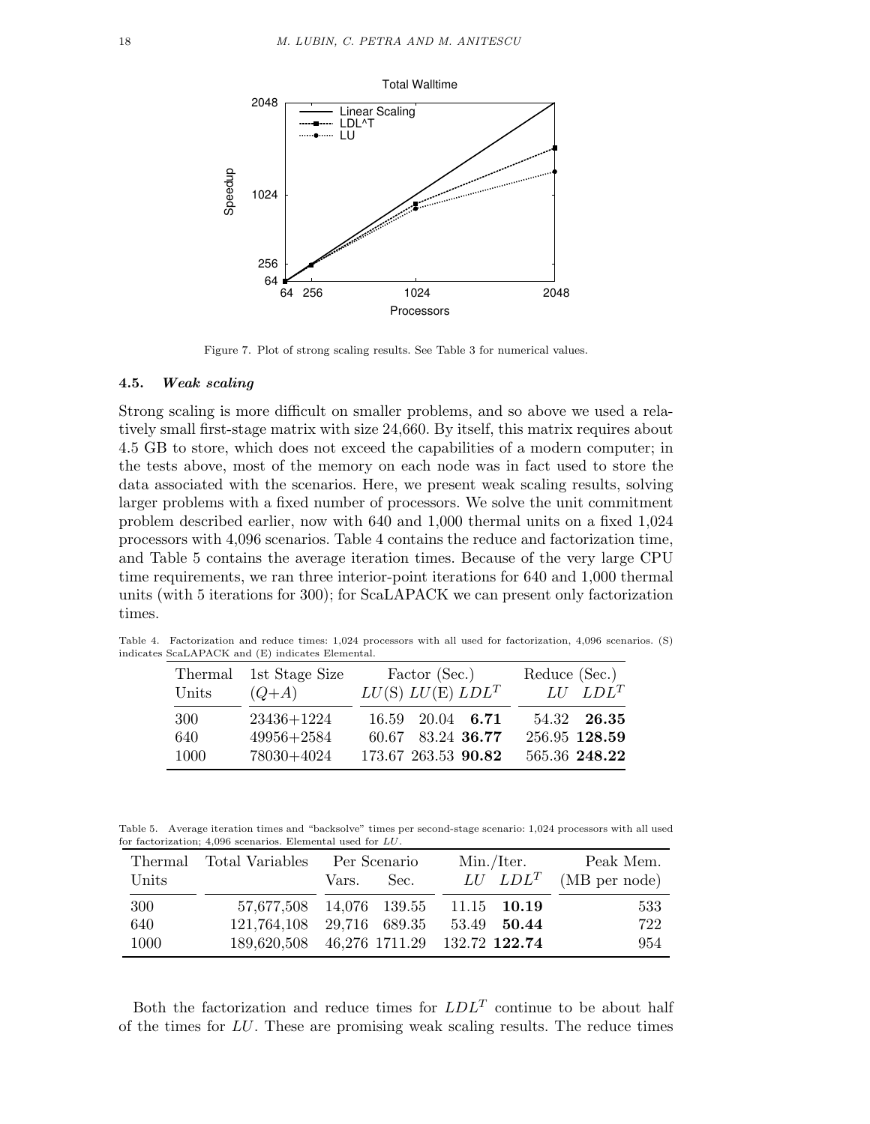

Figure 7. Plot of strong scaling results. See Table 3 for numerical values.

### 4.5. Weak scaling

Strong scaling is more difficult on smaller problems, and so above we used a relatively small first-stage matrix with size 24,660. By itself, this matrix requires about 4.5 GB to store, which does not exceed the capabilities of a modern computer; in the tests above, most of the memory on each node was in fact used to store the data associated with the scenarios. Here, we present weak scaling results, solving larger problems with a fixed number of processors. We solve the unit commitment problem described earlier, now with 640 and 1,000 thermal units on a fixed 1,024 processors with 4,096 scenarios. Table 4 contains the reduce and factorization time, and Table 5 contains the average iteration times. Because of the very large CPU time requirements, we ran three interior-point iterations for 640 and 1,000 thermal units (with 5 iterations for 300); for ScaLAPACK we can present only factorization times.

Table 4. Factorization and reduce times: 1,024 processors with all used for factorization, 4,096 scenarios. (S) indicates ScaLAPACK and (E) indicates Elemental.

|       | Thermal 1st Stage Size | Factor (Sec.)       | Reduce (Sec.) |
|-------|------------------------|---------------------|---------------|
| Units | $(Q+A)$                | $LU(S) LU(E) LDL^T$ | $LU$ $LDL^T$  |
| 300   | 23436+1224             | 16.59 20.04 6.71    | 54.32 26.35   |
| 640   | 49956+2584             | 60.67 83.24 36.77   | 256.95 128.59 |
| 1000  | 78030+4024             | 173.67 263.53 90.82 | 565.36 248.22 |

Table 5. Average iteration times and "backsolve" times per second-stage scenario: 1,024 processors with all used for factorization; 4,096 scenarios. Elemental used for LU.

|       | Thermal Total Variables                  |       | Per Scenario | Min./Iter.  | Peak Mem.                  |
|-------|------------------------------------------|-------|--------------|-------------|----------------------------|
| Units |                                          | Vars. | Sec.         |             | $LU$ $LDL^T$ (MB per node) |
| 300   | 57,677,508 14,076 139.55                 |       |              | 11.15 10.19 | 533                        |
| 640   | 121,764,108 29,716 689.35                |       |              | 53.49 50.44 | 722                        |
| 1000  | 189,620,508 46,276 1711.29 132.72 122.74 |       |              |             | 954                        |

Both the factorization and reduce times for  $LDL<sup>T</sup>$  continue to be about half of the times for LU. These are promising weak scaling results. The reduce times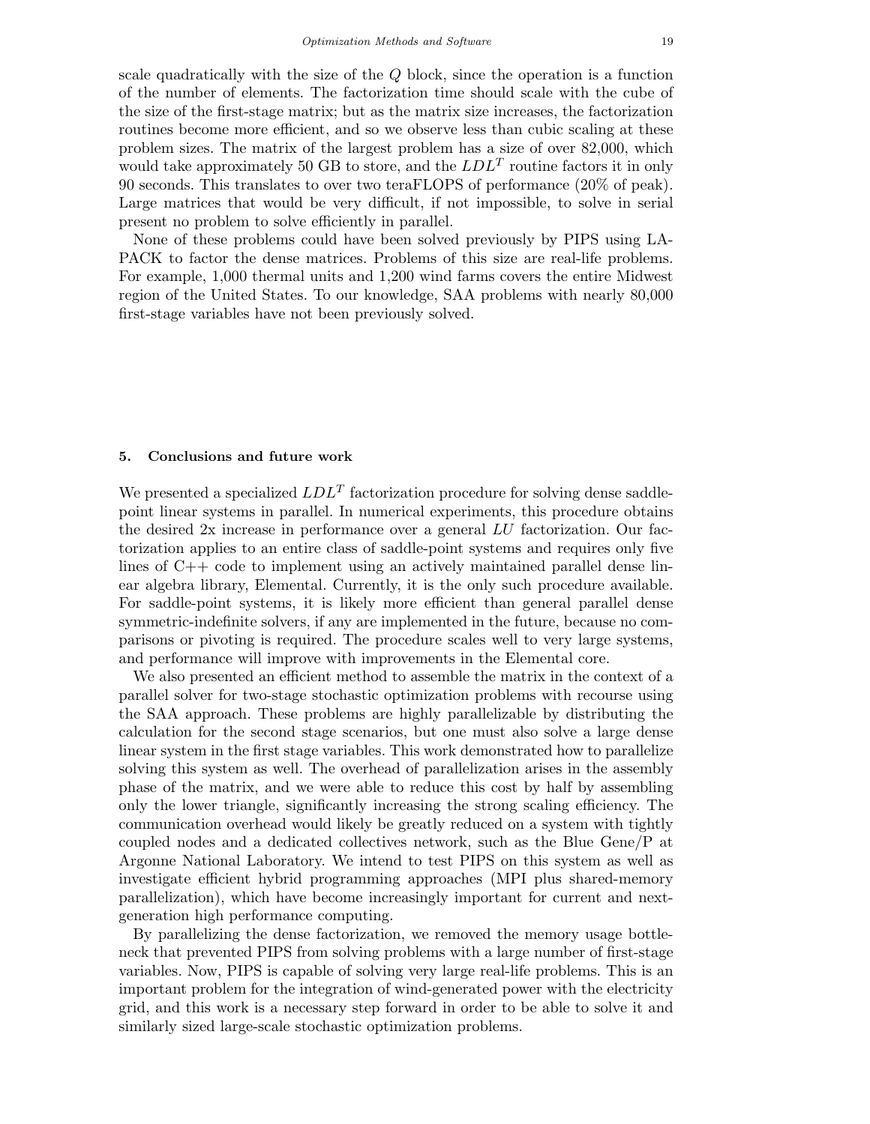scale quadratically with the size of the Q block, since the operation is a function of the number of elements. The factorization time should scale with the cube of the size of the first-stage matrix; but as the matrix size increases, the factorization routines become more efficient, and so we observe less than cubic scaling at these problem sizes. The matrix of the largest problem has a size of over 82,000, which would take approximately 50 GB to store, and the  $LDL<sup>T</sup>$  routine factors it in only 90 seconds. This translates to over two teraFLOPS of performance (20% of peak). Large matrices that would be very difficult, if not impossible, to solve in serial present no problem to solve efficiently in parallel.

None of these problems could have been solved previously by PIPS using LA-PACK to factor the dense matrices. Problems of this size are real-life problems. For example, 1,000 thermal units and 1,200 wind farms covers the entire Midwest region of the United States. To our knowledge, SAA problems with nearly 80,000 first-stage variables have not been previously solved.

#### 5. Conclusions and future work

We presented a specialized  $LDL<sup>T</sup>$  factorization procedure for solving dense saddlepoint linear systems in parallel. In numerical experiments, this procedure obtains the desired 2x increase in performance over a general LU factorization. Our factorization applies to an entire class of saddle-point systems and requires only five lines of C++ code to implement using an actively maintained parallel dense linear algebra library, Elemental. Currently, it is the only such procedure available. For saddle-point systems, it is likely more efficient than general parallel dense symmetric-indefinite solvers, if any are implemented in the future, because no comparisons or pivoting is required. The procedure scales well to very large systems, and performance will improve with improvements in the Elemental core.

We also presented an efficient method to assemble the matrix in the context of a parallel solver for two-stage stochastic optimization problems with recourse using the SAA approach. These problems are highly parallelizable by distributing the calculation for the second stage scenarios, but one must also solve a large dense linear system in the first stage variables. This work demonstrated how to parallelize solving this system as well. The overhead of parallelization arises in the assembly phase of the matrix, and we were able to reduce this cost by half by assembling only the lower triangle, significantly increasing the strong scaling efficiency. The communication overhead would likely be greatly reduced on a system with tightly coupled nodes and a dedicated collectives network, such as the Blue Gene/P at Argonne National Laboratory. We intend to test PIPS on this system as well as investigate efficient hybrid programming approaches (MPI plus shared-memory parallelization), which have become increasingly important for current and nextgeneration high performance computing.

By parallelizing the dense factorization, we removed the memory usage bottleneck that prevented PIPS from solving problems with a large number of first-stage variables. Now, PIPS is capable of solving very large real-life problems. This is an important problem for the integration of wind-generated power with the electricity grid, and this work is a necessary step forward in order to be able to solve it and similarly sized large-scale stochastic optimization problems.